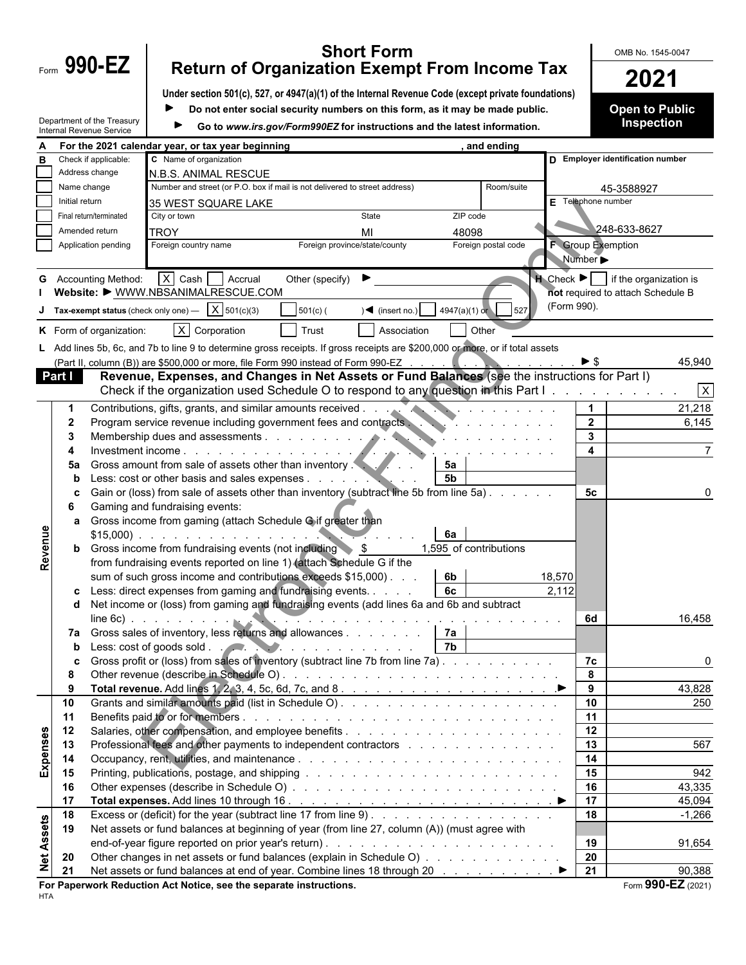| −orm | 990-E |  |
|------|-------|--|
|      |       |  |
|      |       |  |

Department of the Treasury

# **Form 990-EZ** Return of Organization Exempt From Income Tax **COMB No. 1545-0047 Return of Organization Exempt From Income Tax 2021**

**Under section 501(c), 527, or 4947(a)(1) of the Internal Revenue Code (except private foundations)**

 $\blacktriangleright$ **Do not enter social security numbers on this form, as it may be made public.**

Go to *www.irs.gov/Form990EZ* for instructions and the latest information.

**Open to Public Inspection**

|                   |                |                             | For the 2021 calendar year, or tax year beginning                                                                             |                                                                                                                                                                                                                                                                                                                                                                                                                                                                                                                                                                                                                                                                                                                                                                                                                                                                                                                                                                                                                                                                                                                                                                                                                                                                                                                                                                                                                                                                                                                                                                                                                                                                                                                                                                                                                                                                         |            |  |
|-------------------|----------------|-----------------------------|-------------------------------------------------------------------------------------------------------------------------------|-------------------------------------------------------------------------------------------------------------------------------------------------------------------------------------------------------------------------------------------------------------------------------------------------------------------------------------------------------------------------------------------------------------------------------------------------------------------------------------------------------------------------------------------------------------------------------------------------------------------------------------------------------------------------------------------------------------------------------------------------------------------------------------------------------------------------------------------------------------------------------------------------------------------------------------------------------------------------------------------------------------------------------------------------------------------------------------------------------------------------------------------------------------------------------------------------------------------------------------------------------------------------------------------------------------------------------------------------------------------------------------------------------------------------------------------------------------------------------------------------------------------------------------------------------------------------------------------------------------------------------------------------------------------------------------------------------------------------------------------------------------------------------------------------------------------------------------------------------------------------|------------|--|
|                   |                | Check if applicable:        | C Name of organization                                                                                                        |                                                                                                                                                                                                                                                                                                                                                                                                                                                                                                                                                                                                                                                                                                                                                                                                                                                                                                                                                                                                                                                                                                                                                                                                                                                                                                                                                                                                                                                                                                                                                                                                                                                                                                                                                                                                                                                                         |            |  |
|                   |                | Address change              | N.B.S. ANIMAL RESCUE                                                                                                          |                                                                                                                                                                                                                                                                                                                                                                                                                                                                                                                                                                                                                                                                                                                                                                                                                                                                                                                                                                                                                                                                                                                                                                                                                                                                                                                                                                                                                                                                                                                                                                                                                                                                                                                                                                                                                                                                         |            |  |
|                   | Name change    |                             | Number and street (or P.O. box if mail is not delivered to street address)                                                    |                                                                                                                                                                                                                                                                                                                                                                                                                                                                                                                                                                                                                                                                                                                                                                                                                                                                                                                                                                                                                                                                                                                                                                                                                                                                                                                                                                                                                                                                                                                                                                                                                                                                                                                                                                                                                                                                         | Room/suite |  |
|                   | Initial return |                             | 35 WEST SQUARE LAKE                                                                                                           |                                                                                                                                                                                                                                                                                                                                                                                                                                                                                                                                                                                                                                                                                                                                                                                                                                                                                                                                                                                                                                                                                                                                                                                                                                                                                                                                                                                                                                                                                                                                                                                                                                                                                                                                                                                                                                                                         |            |  |
|                   |                | Final return/terminated     | State<br>City or town                                                                                                         |                                                                                                                                                                                                                                                                                                                                                                                                                                                                                                                                                                                                                                                                                                                                                                                                                                                                                                                                                                                                                                                                                                                                                                                                                                                                                                                                                                                                                                                                                                                                                                                                                                                                                                                                                                                                                                                                         |            |  |
|                   |                | Amended return              | <b>TROY</b><br>MI                                                                                                             |                                                                                                                                                                                                                                                                                                                                                                                                                                                                                                                                                                                                                                                                                                                                                                                                                                                                                                                                                                                                                                                                                                                                                                                                                                                                                                                                                                                                                                                                                                                                                                                                                                                                                                                                                                                                                                                                         |            |  |
|                   |                | Application pending         | Foreign province/state/county<br>Foreign country name                                                                         |                                                                                                                                                                                                                                                                                                                                                                                                                                                                                                                                                                                                                                                                                                                                                                                                                                                                                                                                                                                                                                                                                                                                                                                                                                                                                                                                                                                                                                                                                                                                                                                                                                                                                                                                                                                                                                                                         |            |  |
|                   |                |                             |                                                                                                                               |                                                                                                                                                                                                                                                                                                                                                                                                                                                                                                                                                                                                                                                                                                                                                                                                                                                                                                                                                                                                                                                                                                                                                                                                                                                                                                                                                                                                                                                                                                                                                                                                                                                                                                                                                                                                                                                                         |            |  |
|                   |                |                             |                                                                                                                               |                                                                                                                                                                                                                                                                                                                                                                                                                                                                                                                                                                                                                                                                                                                                                                                                                                                                                                                                                                                                                                                                                                                                                                                                                                                                                                                                                                                                                                                                                                                                                                                                                                                                                                                                                                                                                                                                         |            |  |
|                   |                | <b>G</b> Accounting Method: | $X$ Cash $A$ Accrual<br>Other (specify) $\blacktriangleright$<br>Website: • WWW.NBSANIMALRESCUE.COM                           |                                                                                                                                                                                                                                                                                                                                                                                                                                                                                                                                                                                                                                                                                                                                                                                                                                                                                                                                                                                                                                                                                                                                                                                                                                                                                                                                                                                                                                                                                                                                                                                                                                                                                                                                                                                                                                                                         |            |  |
|                   |                |                             |                                                                                                                               |                                                                                                                                                                                                                                                                                                                                                                                                                                                                                                                                                                                                                                                                                                                                                                                                                                                                                                                                                                                                                                                                                                                                                                                                                                                                                                                                                                                                                                                                                                                                                                                                                                                                                                                                                                                                                                                                         |            |  |
|                   |                |                             | Tax-exempt status (check only one) $\overline{X}$ 501(c)(3)<br>$501(c)$ (<br>$\sqrt{\frac{4}{1}}$ (insert no.)                |                                                                                                                                                                                                                                                                                                                                                                                                                                                                                                                                                                                                                                                                                                                                                                                                                                                                                                                                                                                                                                                                                                                                                                                                                                                                                                                                                                                                                                                                                                                                                                                                                                                                                                                                                                                                                                                                         | 527        |  |
|                   |                | K Form of organization:     | $X$ Corporation<br>Trust<br>Association                                                                                       |                                                                                                                                                                                                                                                                                                                                                                                                                                                                                                                                                                                                                                                                                                                                                                                                                                                                                                                                                                                                                                                                                                                                                                                                                                                                                                                                                                                                                                                                                                                                                                                                                                                                                                                                                                                                                                                                         |            |  |
|                   |                |                             | L Add lines 5b, 6c, and 7b to line 9 to determine gross receipts. If gross receipts are \$200,000 or more, or if total assets |                                                                                                                                                                                                                                                                                                                                                                                                                                                                                                                                                                                                                                                                                                                                                                                                                                                                                                                                                                                                                                                                                                                                                                                                                                                                                                                                                                                                                                                                                                                                                                                                                                                                                                                                                                                                                                                                         |            |  |
|                   |                |                             | (Part II, column (B)) are \$500,000 or more, file Form 990 instead of Form 990-EZ                                             |                                                                                                                                                                                                                                                                                                                                                                                                                                                                                                                                                                                                                                                                                                                                                                                                                                                                                                                                                                                                                                                                                                                                                                                                                                                                                                                                                                                                                                                                                                                                                                                                                                                                                                                                                                                                                                                                         |            |  |
|                   | Part I         |                             |                                                                                                                               |                                                                                                                                                                                                                                                                                                                                                                                                                                                                                                                                                                                                                                                                                                                                                                                                                                                                                                                                                                                                                                                                                                                                                                                                                                                                                                                                                                                                                                                                                                                                                                                                                                                                                                                                                                                                                                                                         |            |  |
|                   |                |                             |                                                                                                                               |                                                                                                                                                                                                                                                                                                                                                                                                                                                                                                                                                                                                                                                                                                                                                                                                                                                                                                                                                                                                                                                                                                                                                                                                                                                                                                                                                                                                                                                                                                                                                                                                                                                                                                                                                                                                                                                                         |            |  |
|                   |                |                             |                                                                                                                               |                                                                                                                                                                                                                                                                                                                                                                                                                                                                                                                                                                                                                                                                                                                                                                                                                                                                                                                                                                                                                                                                                                                                                                                                                                                                                                                                                                                                                                                                                                                                                                                                                                                                                                                                                                                                                                                                         |            |  |
|                   | $\mathbf 1$    |                             | Contributions, gifts, grants, and similar amounts received                                                                    |                                                                                                                                                                                                                                                                                                                                                                                                                                                                                                                                                                                                                                                                                                                                                                                                                                                                                                                                                                                                                                                                                                                                                                                                                                                                                                                                                                                                                                                                                                                                                                                                                                                                                                                                                                                                                                                                         |            |  |
|                   | $\mathbf{2}$   |                             | Program service revenue including government fees and contracts.                                                              |                                                                                                                                                                                                                                                                                                                                                                                                                                                                                                                                                                                                                                                                                                                                                                                                                                                                                                                                                                                                                                                                                                                                                                                                                                                                                                                                                                                                                                                                                                                                                                                                                                                                                                                                                                                                                                                                         |            |  |
|                   | 3              |                             |                                                                                                                               |                                                                                                                                                                                                                                                                                                                                                                                                                                                                                                                                                                                                                                                                                                                                                                                                                                                                                                                                                                                                                                                                                                                                                                                                                                                                                                                                                                                                                                                                                                                                                                                                                                                                                                                                                                                                                                                                         |            |  |
|                   |                |                             |                                                                                                                               |                                                                                                                                                                                                                                                                                                                                                                                                                                                                                                                                                                                                                                                                                                                                                                                                                                                                                                                                                                                                                                                                                                                                                                                                                                                                                                                                                                                                                                                                                                                                                                                                                                                                                                                                                                                                                                                                         |            |  |
|                   | 5a             |                             | Gross amount from sale of assets other than inventory.<br>$\mathcal{L}$ . The set of $\mathcal{L}$                            | and ending<br>D Employer identification number<br>45-3588927<br>E Telephone number<br>ZIP code<br>248-633-8627<br>48098<br><b>F</b> Group Exemption<br>Foreign postal code<br>Number ><br>$\blacksquare$ Check $\blacktriangleright$ if the organization is<br>not required to attach Schedule B<br>(Form 990).<br>$4947(a)(1)$ or<br>Other<br>$\blacktriangleright$ \$<br>45,940<br><u>and the state of the state</u><br>Revenue, Expenses, and Changes in Net Assets or Fund Balances (see the instructions for Part I)<br>$\vert x \vert$<br>Check if the organization used Schedule O to respond to any question in this Part I. $\ldots$<br>21,218<br><b>AND</b><br>and a straight and a straight and<br>$\overline{2}$<br>6,145<br>$\mathbf{3}$<br><u>and the second contract of the second second</u><br>$\overline{\mathbf{4}}$<br>5a<br>5 <sub>b</sub><br>5с<br>6а<br>1,595 of contributions<br>6b<br>18,570<br>2,112<br>6c<br>6d<br>16,458<br>$\mathcal{L}_{\mathcal{A}}(\mathcal{A},\mathcal{A},\mathcal{A},\mathcal{A},\mathcal{A},\mathcal{A},\mathcal{A},\mathcal{A},\mathcal{A},\mathcal{A},\mathcal{A},\mathcal{A},\mathcal{A},\mathcal{A},\mathcal{A},\mathcal{A},\mathcal{A},\mathcal{A},\mathcal{A},\mathcal{A},\mathcal{A},\mathcal{A},\mathcal{A},\mathcal{A},\mathcal{A},\mathcal{A},\mathcal{A},\mathcal{A},\mathcal{A},\mathcal{A},\mathcal{A},\mathcal{A},\mathcal{A},\mathcal{A},\mathcal{$<br>7a<br>$\overline{7b}$<br>7c<br><sup>0</sup><br>8<br>9<br>43,828<br>10<br>250<br>11<br>12<br>13<br>567<br>14<br>15<br>942<br>16<br>43,335<br>17<br>45,094<br>$\overline{18}$<br>$-1,266$<br>19<br>91,654<br>$\overline{20}$<br>21<br>Net assets or fund balances at end of year. Combine lines 18 through 20 manus of the state of balances at end of year. Combine lines 18 through 20 manus of the state of D<br>90,388<br>Form 990-EZ (2021) |            |  |
|                   |                |                             | Less: cost or other basis and sales expenses                                                                                  |                                                                                                                                                                                                                                                                                                                                                                                                                                                                                                                                                                                                                                                                                                                                                                                                                                                                                                                                                                                                                                                                                                                                                                                                                                                                                                                                                                                                                                                                                                                                                                                                                                                                                                                                                                                                                                                                         |            |  |
|                   |                |                             | Gain or (loss) from sale of assets other than inventory (subtract line 5b from line 5a)                                       |                                                                                                                                                                                                                                                                                                                                                                                                                                                                                                                                                                                                                                                                                                                                                                                                                                                                                                                                                                                                                                                                                                                                                                                                                                                                                                                                                                                                                                                                                                                                                                                                                                                                                                                                                                                                                                                                         |            |  |
|                   | 6              |                             | Gaming and fundraising events:                                                                                                |                                                                                                                                                                                                                                                                                                                                                                                                                                                                                                                                                                                                                                                                                                                                                                                                                                                                                                                                                                                                                                                                                                                                                                                                                                                                                                                                                                                                                                                                                                                                                                                                                                                                                                                                                                                                                                                                         |            |  |
|                   | а              |                             | Gross income from gaming (attach Schedule Gif greater than                                                                    |                                                                                                                                                                                                                                                                                                                                                                                                                                                                                                                                                                                                                                                                                                                                                                                                                                                                                                                                                                                                                                                                                                                                                                                                                                                                                                                                                                                                                                                                                                                                                                                                                                                                                                                                                                                                                                                                         |            |  |
|                   |                |                             | <b>b</b> Gross income from fundraising events (not including \$                                                               |                                                                                                                                                                                                                                                                                                                                                                                                                                                                                                                                                                                                                                                                                                                                                                                                                                                                                                                                                                                                                                                                                                                                                                                                                                                                                                                                                                                                                                                                                                                                                                                                                                                                                                                                                                                                                                                                         |            |  |
| Revenue           |                |                             | from fundraising events reported on line 1) (attach Schedule G if the                                                         |                                                                                                                                                                                                                                                                                                                                                                                                                                                                                                                                                                                                                                                                                                                                                                                                                                                                                                                                                                                                                                                                                                                                                                                                                                                                                                                                                                                                                                                                                                                                                                                                                                                                                                                                                                                                                                                                         |            |  |
|                   |                |                             | sum of such gross income and contributions exceeds \$15,000).                                                                 |                                                                                                                                                                                                                                                                                                                                                                                                                                                                                                                                                                                                                                                                                                                                                                                                                                                                                                                                                                                                                                                                                                                                                                                                                                                                                                                                                                                                                                                                                                                                                                                                                                                                                                                                                                                                                                                                         |            |  |
|                   |                |                             | Less: direct expenses from gaming and fundraising events.                                                                     |                                                                                                                                                                                                                                                                                                                                                                                                                                                                                                                                                                                                                                                                                                                                                                                                                                                                                                                                                                                                                                                                                                                                                                                                                                                                                                                                                                                                                                                                                                                                                                                                                                                                                                                                                                                                                                                                         |            |  |
|                   |                |                             | Net income or (loss) from gaming and fundraising events (add lines 6a and 6b and subtract                                     |                                                                                                                                                                                                                                                                                                                                                                                                                                                                                                                                                                                                                                                                                                                                                                                                                                                                                                                                                                                                                                                                                                                                                                                                                                                                                                                                                                                                                                                                                                                                                                                                                                                                                                                                                                                                                                                                         |            |  |
|                   | d              |                             |                                                                                                                               |                                                                                                                                                                                                                                                                                                                                                                                                                                                                                                                                                                                                                                                                                                                                                                                                                                                                                                                                                                                                                                                                                                                                                                                                                                                                                                                                                                                                                                                                                                                                                                                                                                                                                                                                                                                                                                                                         |            |  |
|                   |                |                             | line 6c) $\cdots$ $\cdots$ $\cdots$<br>Gross sales of inventory, less returns and allowances                                  |                                                                                                                                                                                                                                                                                                                                                                                                                                                                                                                                                                                                                                                                                                                                                                                                                                                                                                                                                                                                                                                                                                                                                                                                                                                                                                                                                                                                                                                                                                                                                                                                                                                                                                                                                                                                                                                                         |            |  |
|                   | 7a             |                             |                                                                                                                               |                                                                                                                                                                                                                                                                                                                                                                                                                                                                                                                                                                                                                                                                                                                                                                                                                                                                                                                                                                                                                                                                                                                                                                                                                                                                                                                                                                                                                                                                                                                                                                                                                                                                                                                                                                                                                                                                         |            |  |
|                   | b              |                             | Gross profit or (loss) from sales of inventory (subtract line 7b from line 7a).                                               |                                                                                                                                                                                                                                                                                                                                                                                                                                                                                                                                                                                                                                                                                                                                                                                                                                                                                                                                                                                                                                                                                                                                                                                                                                                                                                                                                                                                                                                                                                                                                                                                                                                                                                                                                                                                                                                                         |            |  |
|                   | 8              |                             |                                                                                                                               |                                                                                                                                                                                                                                                                                                                                                                                                                                                                                                                                                                                                                                                                                                                                                                                                                                                                                                                                                                                                                                                                                                                                                                                                                                                                                                                                                                                                                                                                                                                                                                                                                                                                                                                                                                                                                                                                         |            |  |
|                   | 9              |                             | <b>Total revenue.</b> Add lines $1, 2, 3, 4, 5c, 6d, 7c, and 8.$                                                              |                                                                                                                                                                                                                                                                                                                                                                                                                                                                                                                                                                                                                                                                                                                                                                                                                                                                                                                                                                                                                                                                                                                                                                                                                                                                                                                                                                                                                                                                                                                                                                                                                                                                                                                                                                                                                                                                         |            |  |
|                   | 10             |                             |                                                                                                                               |                                                                                                                                                                                                                                                                                                                                                                                                                                                                                                                                                                                                                                                                                                                                                                                                                                                                                                                                                                                                                                                                                                                                                                                                                                                                                                                                                                                                                                                                                                                                                                                                                                                                                                                                                                                                                                                                         |            |  |
|                   | 11             |                             |                                                                                                                               |                                                                                                                                                                                                                                                                                                                                                                                                                                                                                                                                                                                                                                                                                                                                                                                                                                                                                                                                                                                                                                                                                                                                                                                                                                                                                                                                                                                                                                                                                                                                                                                                                                                                                                                                                                                                                                                                         |            |  |
|                   | 12             |                             |                                                                                                                               |                                                                                                                                                                                                                                                                                                                                                                                                                                                                                                                                                                                                                                                                                                                                                                                                                                                                                                                                                                                                                                                                                                                                                                                                                                                                                                                                                                                                                                                                                                                                                                                                                                                                                                                                                                                                                                                                         |            |  |
|                   | 13             |                             | Professional fees and other payments to independent contractors                                                               |                                                                                                                                                                                                                                                                                                                                                                                                                                                                                                                                                                                                                                                                                                                                                                                                                                                                                                                                                                                                                                                                                                                                                                                                                                                                                                                                                                                                                                                                                                                                                                                                                                                                                                                                                                                                                                                                         |            |  |
|                   | 14             |                             |                                                                                                                               |                                                                                                                                                                                                                                                                                                                                                                                                                                                                                                                                                                                                                                                                                                                                                                                                                                                                                                                                                                                                                                                                                                                                                                                                                                                                                                                                                                                                                                                                                                                                                                                                                                                                                                                                                                                                                                                                         |            |  |
| Expenses          | 15             |                             |                                                                                                                               |                                                                                                                                                                                                                                                                                                                                                                                                                                                                                                                                                                                                                                                                                                                                                                                                                                                                                                                                                                                                                                                                                                                                                                                                                                                                                                                                                                                                                                                                                                                                                                                                                                                                                                                                                                                                                                                                         |            |  |
|                   |                |                             |                                                                                                                               |                                                                                                                                                                                                                                                                                                                                                                                                                                                                                                                                                                                                                                                                                                                                                                                                                                                                                                                                                                                                                                                                                                                                                                                                                                                                                                                                                                                                                                                                                                                                                                                                                                                                                                                                                                                                                                                                         |            |  |
|                   | 16<br>17       |                             |                                                                                                                               |                                                                                                                                                                                                                                                                                                                                                                                                                                                                                                                                                                                                                                                                                                                                                                                                                                                                                                                                                                                                                                                                                                                                                                                                                                                                                                                                                                                                                                                                                                                                                                                                                                                                                                                                                                                                                                                                         |            |  |
|                   | 18             |                             |                                                                                                                               |                                                                                                                                                                                                                                                                                                                                                                                                                                                                                                                                                                                                                                                                                                                                                                                                                                                                                                                                                                                                                                                                                                                                                                                                                                                                                                                                                                                                                                                                                                                                                                                                                                                                                                                                                                                                                                                                         |            |  |
|                   | 19             |                             |                                                                                                                               |                                                                                                                                                                                                                                                                                                                                                                                                                                                                                                                                                                                                                                                                                                                                                                                                                                                                                                                                                                                                                                                                                                                                                                                                                                                                                                                                                                                                                                                                                                                                                                                                                                                                                                                                                                                                                                                                         |            |  |
|                   |                |                             | Net assets or fund balances at beginning of year (from line 27, column (A)) (must agree with                                  |                                                                                                                                                                                                                                                                                                                                                                                                                                                                                                                                                                                                                                                                                                                                                                                                                                                                                                                                                                                                                                                                                                                                                                                                                                                                                                                                                                                                                                                                                                                                                                                                                                                                                                                                                                                                                                                                         |            |  |
|                   | 20             |                             | Other changes in net assets or fund balances (explain in Schedule O)                                                          |                                                                                                                                                                                                                                                                                                                                                                                                                                                                                                                                                                                                                                                                                                                                                                                                                                                                                                                                                                                                                                                                                                                                                                                                                                                                                                                                                                                                                                                                                                                                                                                                                                                                                                                                                                                                                                                                         |            |  |
| <b>Net Assets</b> | 21             |                             |                                                                                                                               |                                                                                                                                                                                                                                                                                                                                                                                                                                                                                                                                                                                                                                                                                                                                                                                                                                                                                                                                                                                                                                                                                                                                                                                                                                                                                                                                                                                                                                                                                                                                                                                                                                                                                                                                                                                                                                                                         |            |  |
|                   |                |                             |                                                                                                                               |                                                                                                                                                                                                                                                                                                                                                                                                                                                                                                                                                                                                                                                                                                                                                                                                                                                                                                                                                                                                                                                                                                                                                                                                                                                                                                                                                                                                                                                                                                                                                                                                                                                                                                                                                                                                                                                                         |            |  |
|                   |                |                             | For Paperwork Reduction Act Notice, see the separate instructions.                                                            |                                                                                                                                                                                                                                                                                                                                                                                                                                                                                                                                                                                                                                                                                                                                                                                                                                                                                                                                                                                                                                                                                                                                                                                                                                                                                                                                                                                                                                                                                                                                                                                                                                                                                                                                                                                                                                                                         |            |  |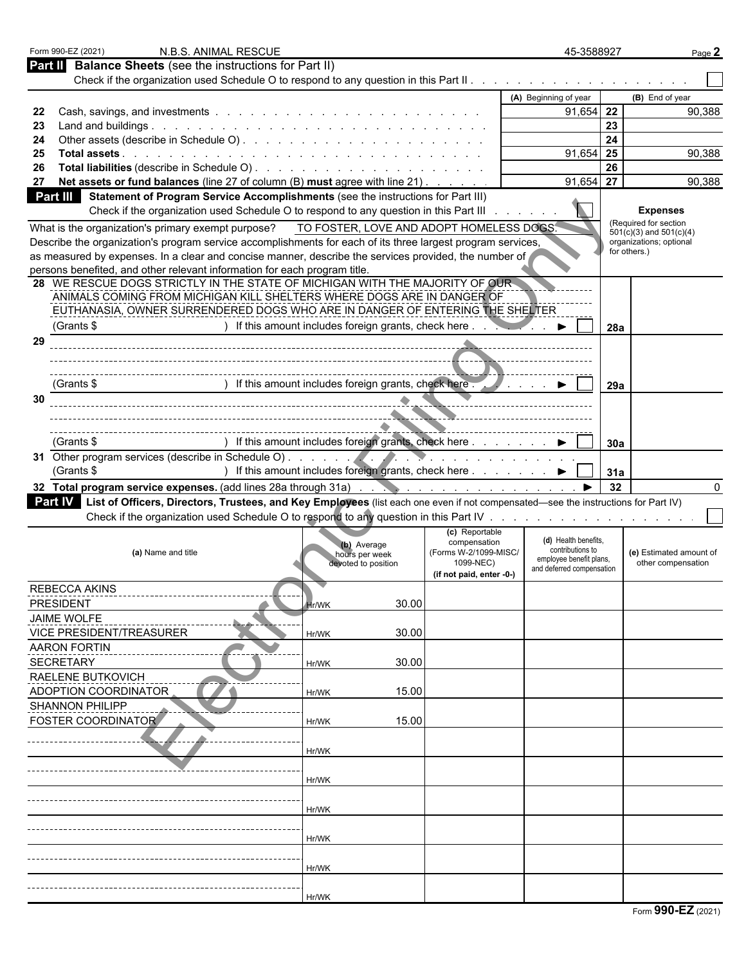| Form 990-EZ (2021)<br>N.B.S. ANIMAL RESCUE                                                                                                                                            |                                                               |                                          | 45-3588927                                           |     | Page 2                                               |
|---------------------------------------------------------------------------------------------------------------------------------------------------------------------------------------|---------------------------------------------------------------|------------------------------------------|------------------------------------------------------|-----|------------------------------------------------------|
| <b>Balance Sheets</b> (see the instructions for Part II)<br><b>Part II</b>                                                                                                            |                                                               |                                          |                                                      |     |                                                      |
|                                                                                                                                                                                       |                                                               |                                          |                                                      |     |                                                      |
|                                                                                                                                                                                       |                                                               |                                          | (A) Beginning of year                                |     | (B) End of year                                      |
| 22                                                                                                                                                                                    |                                                               |                                          | $91,654$ 22                                          | 23  | 90,388                                               |
| 23<br>24                                                                                                                                                                              |                                                               |                                          |                                                      | 24  |                                                      |
| 25                                                                                                                                                                                    |                                                               |                                          | $91,654$ 25                                          |     | 90,388                                               |
| 26                                                                                                                                                                                    |                                                               |                                          |                                                      | 26  |                                                      |
| Net assets or fund balances (line 27 of column (B) must agree with line 21).<br>27                                                                                                    |                                                               |                                          | 91,654                                               | 27  | 90,388                                               |
| Statement of Program Service Accomplishments (see the instructions for Part III)<br>Part III<br>Check if the organization used Schedule O to respond to any question in this Part III |                                                               |                                          |                                                      |     | <b>Expenses</b>                                      |
| What is the organization's primary exempt purpose?                                                                                                                                    |                                                               | TO FOSTER, LOVE AND ADOPT HOMELESS DOGS. |                                                      |     | (Required for section<br>$501(c)(3)$ and $501(c)(4)$ |
| Describe the organization's program service accomplishments for each of its three largest program services,                                                                           |                                                               |                                          |                                                      |     | organizations; optional                              |
| as measured by expenses. In a clear and concise manner, describe the services provided, the number of                                                                                 |                                                               |                                          |                                                      |     | for others.)                                         |
| persons benefited, and other relevant information for each program title.<br>28 WE RESCUE DOGS STRICTLY IN THE STATE OF MICHIGAN WITH THE MAJORITY OF OUR                             |                                                               |                                          |                                                      |     |                                                      |
| ANIMALS COMING FROM MICHIGAN KILL SHELTERS WHERE DOGS ARE IN DANGER OF                                                                                                                |                                                               |                                          |                                                      |     |                                                      |
| EUTHANASIA, OWNER SURRENDERED DOGS WHO ARE IN DANGER OF ENTERING THE SHELTER                                                                                                          |                                                               |                                          |                                                      |     |                                                      |
| (Grants \$                                                                                                                                                                            | ) If this amount includes foreign grants, check here $\ldots$ |                                          |                                                      | 28a |                                                      |
| 29                                                                                                                                                                                    |                                                               |                                          |                                                      |     |                                                      |
|                                                                                                                                                                                       |                                                               |                                          |                                                      |     |                                                      |
| (Grants \$                                                                                                                                                                            | ) If this amount includes foreign grants, check here .        |                                          |                                                      |     |                                                      |
| 30                                                                                                                                                                                    |                                                               |                                          | $\cdots$ $\blacksquare$                              | 29a |                                                      |
|                                                                                                                                                                                       |                                                               |                                          |                                                      |     |                                                      |
|                                                                                                                                                                                       |                                                               |                                          |                                                      |     |                                                      |
| (Grants \$                                                                                                                                                                            | ) If this amount includes foreign grants, check here ▶        |                                          |                                                      | 30a |                                                      |
|                                                                                                                                                                                       |                                                               |                                          |                                                      |     |                                                      |
| (Grants \$                                                                                                                                                                            | ) If this amount includes foreign grants, check here ▶        |                                          |                                                      | 31a |                                                      |
|                                                                                                                                                                                       |                                                               |                                          |                                                      | 32  |                                                      |
| Part IV List of Officers, Directors, Trustees, and Key Employees (list each one even if not compensated—see the instructions for Part IV)                                             |                                                               |                                          |                                                      |     |                                                      |
|                                                                                                                                                                                       |                                                               |                                          |                                                      |     |                                                      |
|                                                                                                                                                                                       |                                                               | (c) Reportable<br>compensation           | (d) Health benefits.                                 |     |                                                      |
| (a) Name and title                                                                                                                                                                    | (b) Average<br>hours per week                                 | (Forms W-2/1099-MISC/                    | contributions to                                     |     | (e) Estimated amount of                              |
|                                                                                                                                                                                       | devoted to position                                           | 1099-NEC)                                | employee benefit plans,<br>and deferred compensation |     | other compensation                                   |
|                                                                                                                                                                                       |                                                               | (if not paid, enter -0-)                 |                                                      |     |                                                      |
| <b>REBECCA AKINS</b><br><b>PRESIDENT</b>                                                                                                                                              |                                                               | 30.00                                    |                                                      |     |                                                      |
| <b>JAIME WOLFE</b>                                                                                                                                                                    | <b>Hr/WK</b>                                                  |                                          |                                                      |     |                                                      |
| <b>VICE PRESIDENT/TREASURER</b>                                                                                                                                                       | Hr/WK                                                         | 30.00                                    |                                                      |     |                                                      |
| <b>AARON FORTIN</b>                                                                                                                                                                   |                                                               |                                          |                                                      |     |                                                      |
| <b>SECRETARY</b>                                                                                                                                                                      | Hr/WK                                                         | 30.00                                    |                                                      |     |                                                      |
| <b>RAELENE BUTKOVICH</b>                                                                                                                                                              |                                                               |                                          |                                                      |     |                                                      |
| ADOPTION COORDINATOR                                                                                                                                                                  | Hr/WK                                                         | 15.00                                    |                                                      |     |                                                      |
| <b>SHANNON PHILIPP</b>                                                                                                                                                                |                                                               |                                          |                                                      |     |                                                      |
| <b>FOSTER COORDINATOR</b>                                                                                                                                                             | Hr/WK                                                         | 15.00                                    |                                                      |     |                                                      |
|                                                                                                                                                                                       |                                                               |                                          |                                                      |     |                                                      |
|                                                                                                                                                                                       | Hr/WK                                                         |                                          |                                                      |     |                                                      |
|                                                                                                                                                                                       |                                                               |                                          |                                                      |     |                                                      |
|                                                                                                                                                                                       | Hr/WK                                                         |                                          |                                                      |     |                                                      |
|                                                                                                                                                                                       | Hr/WK                                                         |                                          |                                                      |     |                                                      |
|                                                                                                                                                                                       |                                                               |                                          |                                                      |     |                                                      |
|                                                                                                                                                                                       | Hr/WK                                                         |                                          |                                                      |     |                                                      |
|                                                                                                                                                                                       |                                                               |                                          |                                                      |     |                                                      |
|                                                                                                                                                                                       | Hr/WK                                                         |                                          |                                                      |     |                                                      |
|                                                                                                                                                                                       |                                                               |                                          |                                                      |     |                                                      |
|                                                                                                                                                                                       | Hr/WK                                                         |                                          |                                                      |     |                                                      |
|                                                                                                                                                                                       |                                                               |                                          |                                                      |     | $\sim$                                               |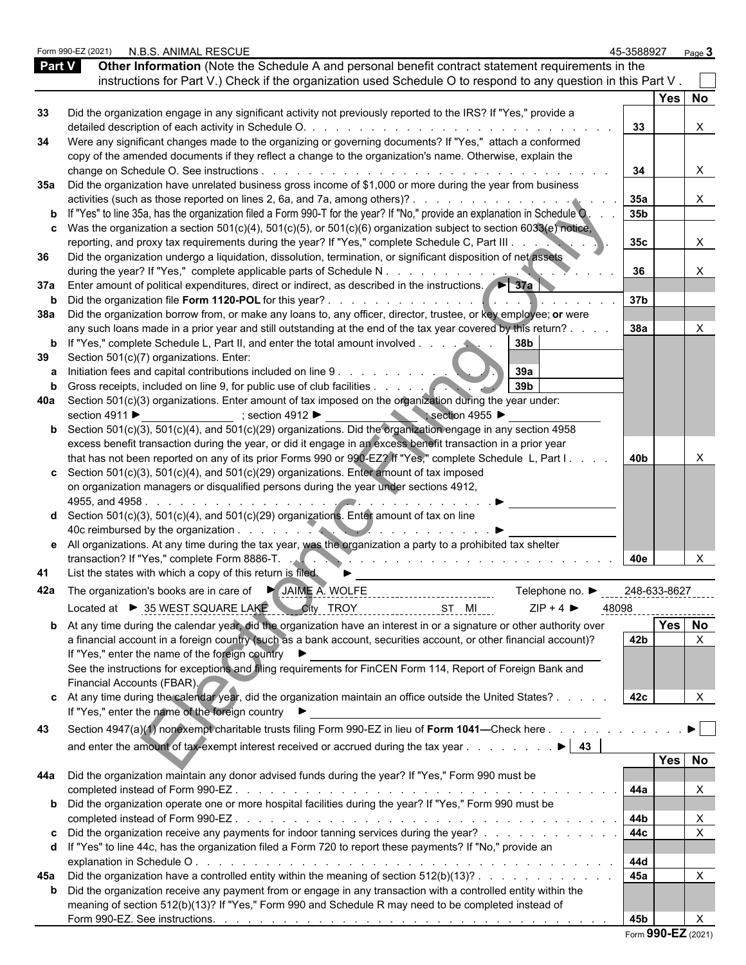|               | Form 990-EZ (2021) | N.B.S. ANIMAL RESCUE                                                                                                                                     | 45-3588927      |                     | Page $3$                       |  |
|---------------|--------------------|----------------------------------------------------------------------------------------------------------------------------------------------------------|-----------------|---------------------|--------------------------------|--|
| <b>Part V</b> |                    | Other Information (Note the Schedule A and personal benefit contract statement requirements in the                                                       |                 |                     |                                |  |
|               |                    | instructions for Part V.) Check if the organization used Schedule O to respond to any question in this Part V.                                           |                 |                     |                                |  |
|               |                    |                                                                                                                                                          |                 | Yes No              |                                |  |
| 33            |                    | Did the organization engage in any significant activity not previously reported to the IRS? If "Yes," provide a                                          |                 |                     |                                |  |
|               |                    | detailed description of each activity in Schedule O. .<br>design and contract the contract of the contract of the                                        | 33              |                     | X                              |  |
| 34            |                    | Were any significant changes made to the organizing or governing documents? If "Yes," attach a conformed                                                 |                 |                     |                                |  |
|               |                    | copy of the amended documents if they reflect a change to the organization's name. Otherwise, explain the                                                |                 |                     |                                |  |
|               |                    | change on Schedule O. See instructions<br>35a Did the organization have unrelated business gross income of \$1,000 or more during the year from business | 34              |                     | X                              |  |
|               |                    |                                                                                                                                                          | 35a             |                     | X                              |  |
|               |                    | <b>b</b> If "Yes" to line 35a, has the organization filed a Form 990-T for the year? If "No," provide an explanation in Schedule O.                      | 35b             |                     |                                |  |
|               |                    | c Was the organization a section $501(c)(4)$ , $501(c)(5)$ , or $501(c)(6)$ organization subject to section $6033(e)$ notice,                            |                 |                     |                                |  |
|               |                    | reporting, and proxy tax requirements during the year? If "Yes," complete Schedule C, Part III                                                           | 35 <sub>c</sub> |                     | X.                             |  |
| 36            |                    | Did the organization undergo a liquidation, dissolution, termination, or significant disposition of net assets                                           |                 |                     |                                |  |
|               |                    | during the year? If "Yes," complete applicable parts of Schedule N.                                                                                      | 36              |                     |                                |  |
|               |                    | 37a Enter amount of political expenditures, direct or indirect, as described in the instructions.                                                        |                 |                     |                                |  |
|               |                    |                                                                                                                                                          | 37 <sub>b</sub> |                     |                                |  |
|               |                    | 38a Did the organization borrow from, or make any loans to, any officer, director, trustee, or key employee; or were                                     |                 |                     |                                |  |
|               |                    | any such loans made in a prior year and still outstanding at the end of the tax year covered by this return?.                                            | 38a             |                     |                                |  |
|               |                    | b If "Yes," complete Schedule L, Part II, and enter the total amount involved.<br>38b                                                                    |                 |                     |                                |  |
| 39            |                    | Section 501(c)(7) organizations. Enter:                                                                                                                  |                 |                     |                                |  |
|               |                    | 39a<br>Initiation fees and capital contributions included on line 9.                                                                                     |                 |                     |                                |  |
|               |                    | 39 <sub>b</sub>                                                                                                                                          |                 |                     |                                |  |
|               |                    | 40a Section 501(c)(3) organizations. Enter amount of tax imposed on the organization during the year under:                                              |                 |                     |                                |  |
|               | section 4911 ▶     | $\therefore$ section 4955<br>; section 4912 ▶                                                                                                            |                 |                     |                                |  |
|               |                    | <b>b</b> Section 501(c)(3), 501(c)(4), and 501(c)(29) organizations. Did the organization engage in any section 4958                                     |                 |                     |                                |  |
|               |                    | excess benefit transaction during the year, or did it engage in an excess benefit transaction in a prior year                                            |                 |                     |                                |  |
|               |                    | that has not been reported on any of its prior Forms 990 or 990-EZ? If "Yes," complete Schedule L, Part I.                                               | 40b             |                     |                                |  |
|               |                    | c Section 501(c)(3), 501(c)(4), and 501(c)(29) organizations. Enter amount of tax imposed                                                                |                 |                     |                                |  |
|               |                    | on organization managers or disqualified persons during the year under sections 4912,                                                                    |                 |                     |                                |  |
|               |                    | 4955, and 4958.<br><b>d</b> Section $501(c)(3)$ , $501(c)(4)$ , and $501(c)(29)$ organizations. Enter amount of tax on line                              |                 |                     |                                |  |
|               |                    | 40c reimbursed by the organization.                                                                                                                      |                 |                     |                                |  |
|               |                    | e All organizations. At any time during the tax year, was the organization a party to a prohibited tax shelter                                           |                 |                     |                                |  |
|               |                    |                                                                                                                                                          |                 |                     |                                |  |
| 41            |                    | List the states with which a copy of this return is filed.                                                                                               | 40e             |                     |                                |  |
|               |                    |                                                                                                                                                          |                 |                     |                                |  |
|               |                    | Telephone no. $\blacktriangleright$                                                                                                                      |                 | <u>248-633-8627</u> |                                |  |
|               |                    | Located at ▶ 35 WEST SQUARE LAKE City TROY<br>$ZIP + 4$<br>ST MI                                                                                         | 48098           |                     |                                |  |
|               |                    | <b>b</b> At any time during the calendar year, did the organization have an interest in or a signature or other authority over                           |                 | Yes No              |                                |  |
|               |                    | a financial account in a foreign country (such as a bank account, securities account, or other financial account)?                                       | 42 <b>b</b>     |                     | $\times$                       |  |
|               |                    | If "Yes," enter the name of the foreign country ▶                                                                                                        |                 |                     |                                |  |
|               |                    | See the instructions for exceptions and filing requirements for FinCEN Form 114, Report of Foreign Bank and                                              |                 |                     |                                |  |
|               |                    | Financial Accounts (FBAR).                                                                                                                               |                 |                     |                                |  |
|               |                    | c At any time during the calendar year, did the organization maintain an office outside the United States?                                               | 42c             |                     | $\times$                       |  |
|               |                    | If "Yes," enter the name of the foreign country ▶                                                                                                        |                 |                     |                                |  |
| 43            |                    | Section 4947(a)(1) nonexempt charitable trusts filing Form 990-EZ in lieu of Form 1041—Check here                                                        |                 |                     | $\blacktriangleright$ $\vdash$ |  |
|               |                    | and enter the amount of tax-exempt interest received or accrued during the tax year<br>$\blacktriangleright$ 43                                          |                 |                     |                                |  |
|               |                    |                                                                                                                                                          |                 | Yes No              |                                |  |
|               |                    | 44a Did the organization maintain any donor advised funds during the year? If "Yes," Form 990 must be                                                    |                 |                     |                                |  |
|               |                    |                                                                                                                                                          | 44a             |                     |                                |  |
|               |                    | b Did the organization operate one or more hospital facilities during the year? If "Yes," Form 990 must be                                               |                 |                     |                                |  |
|               |                    |                                                                                                                                                          | 44b             |                     | Х                              |  |
|               |                    | c Did the organization receive any payments for indoor tanning services during the year?                                                                 | 44c             |                     |                                |  |
|               |                    | d If "Yes" to line 44c, has the organization filed a Form 720 to report these payments? If "No," provide an                                              |                 |                     |                                |  |
|               |                    |                                                                                                                                                          | 44d             |                     |                                |  |
|               |                    | 45a Did the organization have a controlled entity within the meaning of section $512(b)(13)?$ .                                                          | 45a             |                     | X                              |  |
|               |                    | <b>b</b> Did the organization receive any payment from or engage in any transaction with a controlled entity within the                                  |                 |                     |                                |  |
|               |                    | meaning of section 512(b)(13)? If "Yes," Form 990 and Schedule R may need to be completed instead of                                                     |                 |                     |                                |  |
|               |                    |                                                                                                                                                          | 45b             |                     |                                |  |

| Form 990-EZ (2021) |  |  |
|--------------------|--|--|
|--------------------|--|--|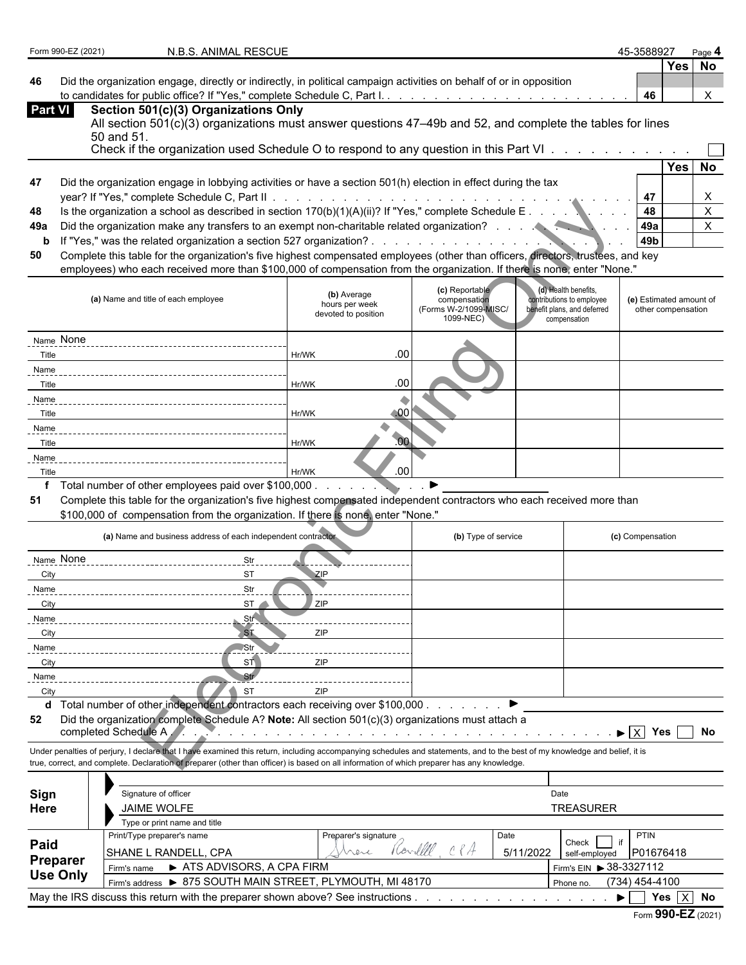| Form 990-EZ (2021) | N.B.S. ANIMAL RESCUE                                                                                                                                                                                                                                                                                                     |                                                                                                                                                                                                                               |                                       |                                                          | 45-3588927                                    |            | Page 4         |
|--------------------|--------------------------------------------------------------------------------------------------------------------------------------------------------------------------------------------------------------------------------------------------------------------------------------------------------------------------|-------------------------------------------------------------------------------------------------------------------------------------------------------------------------------------------------------------------------------|---------------------------------------|----------------------------------------------------------|-----------------------------------------------|------------|----------------|
|                    |                                                                                                                                                                                                                                                                                                                          |                                                                                                                                                                                                                               |                                       |                                                          |                                               |            | Yes No         |
| 46                 | Did the organization engage, directly or indirectly, in political campaign activities on behalf of or in opposition                                                                                                                                                                                                      |                                                                                                                                                                                                                               |                                       |                                                          |                                               |            |                |
|                    |                                                                                                                                                                                                                                                                                                                          |                                                                                                                                                                                                                               |                                       |                                                          | 46                                            |            | X              |
| <b>Part VI</b>     | Section 501(c)(3) Organizations Only<br>All section 501(c)(3) organizations must answer questions 47–49b and 52, and complete the tables for lines                                                                                                                                                                       |                                                                                                                                                                                                                               |                                       |                                                          |                                               |            |                |
|                    | 50 and 51.                                                                                                                                                                                                                                                                                                               |                                                                                                                                                                                                                               |                                       |                                                          |                                               |            |                |
|                    | Check if the organization used Schedule O to respond to any question in this Part VI                                                                                                                                                                                                                                     |                                                                                                                                                                                                                               |                                       |                                                          |                                               |            |                |
|                    |                                                                                                                                                                                                                                                                                                                          |                                                                                                                                                                                                                               |                                       |                                                          |                                               |            | Yes No         |
| 47                 | Did the organization engage in lobbying activities or have a section 501(h) election in effect during the tax                                                                                                                                                                                                            |                                                                                                                                                                                                                               |                                       |                                                          |                                               |            |                |
|                    | year? If "Yes," complete Schedule C, Part II .                                                                                                                                                                                                                                                                           |                                                                                                                                                                                                                               |                                       |                                                          | 47                                            |            | X              |
| 48                 | Is the organization a school as described in section $170(b)(1)(A)(ii)?$ If "Yes," complete Schedule E                                                                                                                                                                                                                   |                                                                                                                                                                                                                               |                                       |                                                          | 48                                            |            | $\mathsf{X}^-$ |
| 49a                |                                                                                                                                                                                                                                                                                                                          |                                                                                                                                                                                                                               |                                       |                                                          | 49a                                           |            | $\mathsf{X}$   |
| b                  |                                                                                                                                                                                                                                                                                                                          |                                                                                                                                                                                                                               |                                       |                                                          | 49 <sub>b</sub>                               |            |                |
| 50                 | Complete this table for the organization's five highest compensated employees (other than officers, directors, trustees, and key                                                                                                                                                                                         |                                                                                                                                                                                                                               |                                       |                                                          |                                               |            |                |
|                    | employees) who each received more than \$100,000 of compensation from the organization. If there is none, enter "None."                                                                                                                                                                                                  |                                                                                                                                                                                                                               |                                       |                                                          |                                               |            |                |
|                    |                                                                                                                                                                                                                                                                                                                          |                                                                                                                                                                                                                               | (c) Reportable                        | (d) Health benefits,                                     |                                               |            |                |
|                    | (a) Name and title of each employee                                                                                                                                                                                                                                                                                      | (b) Average<br>hours per week                                                                                                                                                                                                 | compensation<br>(Forms W-2/1099-MISC/ | contributions to employee<br>benefit plans, and deferred | (e) Estimated amount of<br>other compensation |            |                |
|                    |                                                                                                                                                                                                                                                                                                                          | devoted to position                                                                                                                                                                                                           | 1099-NEC)                             | compensation                                             |                                               |            |                |
| Name None          |                                                                                                                                                                                                                                                                                                                          |                                                                                                                                                                                                                               |                                       |                                                          |                                               |            |                |
| Title              |                                                                                                                                                                                                                                                                                                                          | .00<br>Hr/WK                                                                                                                                                                                                                  |                                       |                                                          |                                               |            |                |
| Name               |                                                                                                                                                                                                                                                                                                                          |                                                                                                                                                                                                                               |                                       |                                                          |                                               |            |                |
| Title              |                                                                                                                                                                                                                                                                                                                          | .00<br>Hr/WK                                                                                                                                                                                                                  |                                       |                                                          |                                               |            |                |
| Name               |                                                                                                                                                                                                                                                                                                                          |                                                                                                                                                                                                                               |                                       |                                                          |                                               |            |                |
| Title              |                                                                                                                                                                                                                                                                                                                          | $\triangle 00$<br>Hr/WK                                                                                                                                                                                                       |                                       |                                                          |                                               |            |                |
| Name               |                                                                                                                                                                                                                                                                                                                          |                                                                                                                                                                                                                               |                                       |                                                          |                                               |            |                |
| Title              |                                                                                                                                                                                                                                                                                                                          | .00<br>Hr/WK                                                                                                                                                                                                                  |                                       |                                                          |                                               |            |                |
| Name               |                                                                                                                                                                                                                                                                                                                          |                                                                                                                                                                                                                               |                                       |                                                          |                                               |            |                |
| Title              |                                                                                                                                                                                                                                                                                                                          | .00<br>Hr/WK                                                                                                                                                                                                                  |                                       |                                                          |                                               |            |                |
|                    | f Total number of other employees paid over \$100,000.                                                                                                                                                                                                                                                                   | $\sim$ $\sim$ $\sim$                                                                                                                                                                                                          |                                       |                                                          |                                               |            |                |
| 51                 | Complete this table for the organization's five highest compensated independent contractors who each received more than<br>\$100,000 of compensation from the organization. If there is none, enter "None."                                                                                                              |                                                                                                                                                                                                                               |                                       |                                                          |                                               |            |                |
|                    |                                                                                                                                                                                                                                                                                                                          |                                                                                                                                                                                                                               |                                       |                                                          |                                               |            |                |
|                    | (a) Name and business address of each independent contractor                                                                                                                                                                                                                                                             |                                                                                                                                                                                                                               | (b) Type of service                   |                                                          | (c) Compensation                              |            |                |
| Name None          | Str                                                                                                                                                                                                                                                                                                                      |                                                                                                                                                                                                                               |                                       |                                                          |                                               |            |                |
| City               | ST                                                                                                                                                                                                                                                                                                                       | ZIP                                                                                                                                                                                                                           |                                       |                                                          |                                               |            |                |
| Name               | Str                                                                                                                                                                                                                                                                                                                      |                                                                                                                                                                                                                               |                                       |                                                          |                                               |            |                |
| City               | ST                                                                                                                                                                                                                                                                                                                       | ZIP                                                                                                                                                                                                                           |                                       |                                                          |                                               |            |                |
| <u>Name</u>        | Str <sup></sup>                                                                                                                                                                                                                                                                                                          |                                                                                                                                                                                                                               |                                       |                                                          |                                               |            |                |
| City               | S <sub>1</sub>                                                                                                                                                                                                                                                                                                           | ZIP                                                                                                                                                                                                                           |                                       |                                                          |                                               |            |                |
| <u>Name</u>        | Str                                                                                                                                                                                                                                                                                                                      |                                                                                                                                                                                                                               |                                       |                                                          |                                               |            |                |
| City               | <b>ST</b>                                                                                                                                                                                                                                                                                                                | ZIP                                                                                                                                                                                                                           |                                       |                                                          |                                               |            |                |
| Name               |                                                                                                                                                                                                                                                                                                                          |                                                                                                                                                                                                                               |                                       |                                                          |                                               |            |                |
| City               | <b>ST</b>                                                                                                                                                                                                                                                                                                                | 7IP                                                                                                                                                                                                                           |                                       |                                                          |                                               |            |                |
|                    | d Total number of other independent contractors each receiving over \$100,000.                                                                                                                                                                                                                                           |                                                                                                                                                                                                                               |                                       |                                                          |                                               |            |                |
| 52                 | Did the organization complete Schedule A? Note: All section 501(c)(3) organizations must attach a<br>completed Schedule A                                                                                                                                                                                                |                                                                                                                                                                                                                               |                                       |                                                          | $\blacktriangleright$ $\overline{X}$          | Yes     No |                |
|                    |                                                                                                                                                                                                                                                                                                                          | a constitution of the constitution of the constitution of the constitution of the constitution of the constitution of the constitution of the constitution of the constitution of the constitution of the constitution of the |                                       |                                                          |                                               |            |                |
|                    | Under penalties of perjury, I declare that I have examined this return, including accompanying schedules and statements, and to the best of my knowledge and belief, it is<br>true, correct, and complete. Declaration of preparer (other than officer) is based on all information of which preparer has any knowledge. |                                                                                                                                                                                                                               |                                       |                                                          |                                               |            |                |
|                    |                                                                                                                                                                                                                                                                                                                          |                                                                                                                                                                                                                               |                                       |                                                          |                                               |            |                |
|                    | Signature of officer                                                                                                                                                                                                                                                                                                     |                                                                                                                                                                                                                               |                                       | Date                                                     |                                               |            |                |
| Sign<br>Here       | <b>JAIME WOLFE</b>                                                                                                                                                                                                                                                                                                       |                                                                                                                                                                                                                               |                                       | <b>TREASURER</b>                                         |                                               |            |                |
|                    | Type or print name and title                                                                                                                                                                                                                                                                                             |                                                                                                                                                                                                                               |                                       |                                                          |                                               |            |                |
|                    | Print/Type preparer's name                                                                                                                                                                                                                                                                                               | Preparer's signature                                                                                                                                                                                                          | Date                                  |                                                          | <b>PTIN</b>                                   |            |                |
| Paid               | SHANE L RANDELL, CPA                                                                                                                                                                                                                                                                                                     | (Av<br>nere                                                                                                                                                                                                                   |                                       | Check  <br>5/11/2022<br>self-employed                    | P01676418                                     |            |                |
| Preparer           | Firm's name > ATS ADVISORS, A CPA FIRM                                                                                                                                                                                                                                                                                   |                                                                                                                                                                                                                               |                                       | Firm's EIN > 38-3327112                                  |                                               |            |                |
| <b>Use Only</b>    | Firm's address > 875 SOUTH MAIN STREET, PLYMOUTH, MI 48170                                                                                                                                                                                                                                                               |                                                                                                                                                                                                                               |                                       | Phone no.                                                | $(734)$ 454-4100                              |            |                |
|                    | May the IRS discuss this return with the preparer shown above? See instructions                                                                                                                                                                                                                                          |                                                                                                                                                                                                                               |                                       |                                                          | $\blacktriangleright$ 1                       | Yes $X$ No |                |
|                    |                                                                                                                                                                                                                                                                                                                          |                                                                                                                                                                                                                               |                                       |                                                          | Form 990-EZ (2021)                            |            |                |
|                    |                                                                                                                                                                                                                                                                                                                          |                                                                                                                                                                                                                               |                                       |                                                          |                                               |            |                |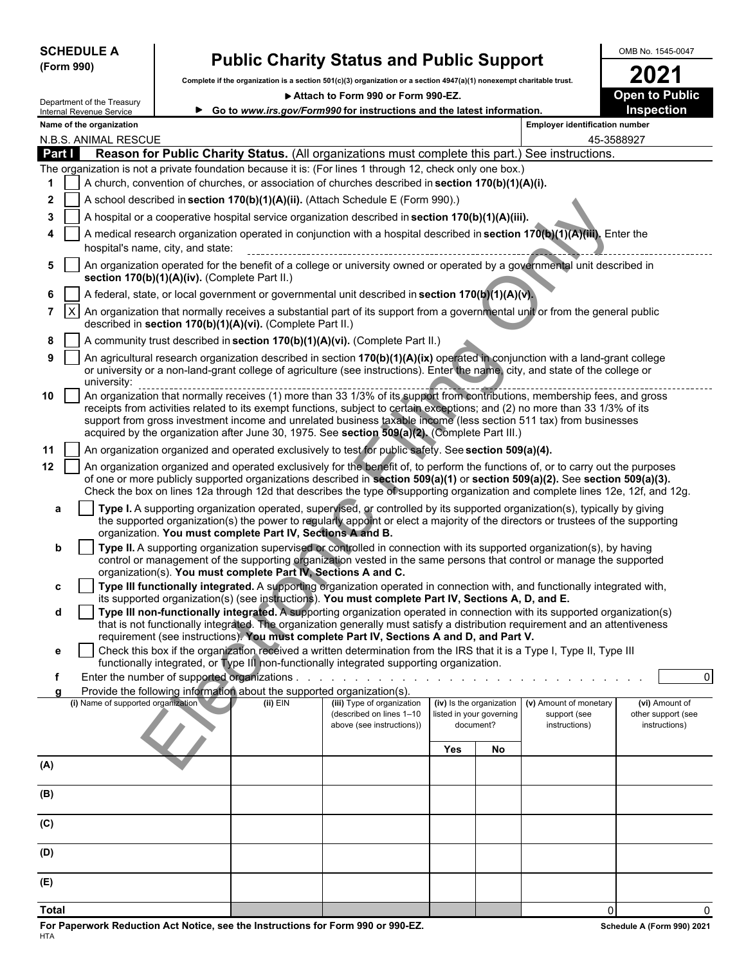|            | <b>SCHEDULE</b> |  |
|------------|-----------------|--|
| (Form 990) |                 |  |

I

# SCHEDULE A **Public Charity Status and Public Support**  $\begin{array}{|c|c|c|}\n\hline\n\text{Simpart} & & \text{OMB No. 1545-0047}\n\hline\n\text{Gompert} & & \text{Gompert} & & \text{Gappart} \\
\hline\n\end{array}$

Complete if the organization is a section 501(c)(3) organization or a section 4947(a)(1) nonexempt charitable trust.<br> **2021** • Attach to Form 990 or Form 990-EZ.

▶ Attach to Form 990 or Form 990-EZ.

|              |              | Department of the Treasury                                                                                                                                                 |                                   |                                                                        | ▶ Attach to Form 990 or Form 990-EZ.                                                                                                                                                                                                                                                                                                                                            |     |                                       |                                       | <b>Open to Public</b>               |  |  |  |  |
|--------------|--------------|----------------------------------------------------------------------------------------------------------------------------------------------------------------------------|-----------------------------------|------------------------------------------------------------------------|---------------------------------------------------------------------------------------------------------------------------------------------------------------------------------------------------------------------------------------------------------------------------------------------------------------------------------------------------------------------------------|-----|---------------------------------------|---------------------------------------|-------------------------------------|--|--|--|--|
|              |              | Internal Revenue Service                                                                                                                                                   |                                   |                                                                        | ► Go to www.irs.gov/Form990 for instructions and the latest information.                                                                                                                                                                                                                                                                                                        |     |                                       |                                       | <b>Inspection</b>                   |  |  |  |  |
|              |              | Name of the organization                                                                                                                                                   |                                   |                                                                        |                                                                                                                                                                                                                                                                                                                                                                                 |     |                                       | <b>Employer identification number</b> |                                     |  |  |  |  |
|              |              | N.B.S. ANIMAL RESCUE                                                                                                                                                       |                                   |                                                                        |                                                                                                                                                                                                                                                                                                                                                                                 |     |                                       |                                       | 45-3588927                          |  |  |  |  |
| Part I       |              |                                                                                                                                                                            |                                   |                                                                        | Reason for Public Charity Status. (All organizations must complete this part.) See instructions.                                                                                                                                                                                                                                                                                |     |                                       |                                       |                                     |  |  |  |  |
|              |              |                                                                                                                                                                            |                                   |                                                                        | The organization is not a private foundation because it is: (For lines 1 through 12, check only one box.)                                                                                                                                                                                                                                                                       |     |                                       |                                       |                                     |  |  |  |  |
|              |              |                                                                                                                                                                            |                                   |                                                                        | A church, convention of churches, or association of churches described in section 170(b)(1)(A)(i).                                                                                                                                                                                                                                                                              |     |                                       |                                       |                                     |  |  |  |  |
| 2            |              |                                                                                                                                                                            |                                   |                                                                        | A school described in section 170(b)(1)(A)(ii). (Attach Schedule E (Form 990).)                                                                                                                                                                                                                                                                                                 |     |                                       |                                       |                                     |  |  |  |  |
| 3            |              |                                                                                                                                                                            |                                   |                                                                        | A hospital or a cooperative hospital service organization described in section 170(b)(1)(A)(iii).                                                                                                                                                                                                                                                                               |     |                                       |                                       |                                     |  |  |  |  |
|              |              |                                                                                                                                                                            |                                   |                                                                        | A medical research organization operated in conjunction with a hospital described in section 170(b)(1)(A)(iii). Enter the                                                                                                                                                                                                                                                       |     |                                       |                                       |                                     |  |  |  |  |
|              |              |                                                                                                                                                                            | hospital's name, city, and state: |                                                                        |                                                                                                                                                                                                                                                                                                                                                                                 |     |                                       |                                       |                                     |  |  |  |  |
| 5.           |              | An organization operated for the benefit of a college or university owned or operated by a governmental unit described in<br>section 170(b)(1)(A)(iv). (Complete Part II.) |                                   |                                                                        |                                                                                                                                                                                                                                                                                                                                                                                 |     |                                       |                                       |                                     |  |  |  |  |
| 6            |              |                                                                                                                                                                            |                                   |                                                                        | A federal, state, or local government or governmental unit described in section 170(b)(1)(A)(v).                                                                                                                                                                                                                                                                                |     |                                       |                                       |                                     |  |  |  |  |
| 7            | $\mathsf{X}$ |                                                                                                                                                                            |                                   | described in section 170(b)(1)(A)(vi). (Complete Part II.)             | An organization that normally receives a substantial part of its support from a governmental unit or from the general public                                                                                                                                                                                                                                                    |     |                                       |                                       |                                     |  |  |  |  |
| 8            |              |                                                                                                                                                                            |                                   |                                                                        | A community trust described in section 170(b)(1)(A)(vi). (Complete Part II.)                                                                                                                                                                                                                                                                                                    |     |                                       |                                       |                                     |  |  |  |  |
| 9            |              |                                                                                                                                                                            |                                   |                                                                        | An agricultural research organization described in section 170(b)(1)(A)(ix) operated in conjunction with a land-grant college                                                                                                                                                                                                                                                   |     |                                       |                                       |                                     |  |  |  |  |
|              |              | university:                                                                                                                                                                |                                   |                                                                        | or university or a non-land-grant college of agriculture (see instructions). Enter the name, city, and state of the college or                                                                                                                                                                                                                                                  |     |                                       |                                       |                                     |  |  |  |  |
| 10           |              |                                                                                                                                                                            |                                   |                                                                        | An organization that normally receives (1) more than 33 1/3% of its support from contributions, membership fees, and gross<br>receipts from activities related to its exempt functions, subject to certain exceptions; and (2) no more than 33 1/3% of its<br>support from gross investment income and unrelated business taxable income (less section 511 tax) from businesses |     |                                       |                                       |                                     |  |  |  |  |
|              |              |                                                                                                                                                                            |                                   |                                                                        | acquired by the organization after June 30, 1975. See section 509(a)(2). (Complete Part III.)                                                                                                                                                                                                                                                                                   |     |                                       |                                       |                                     |  |  |  |  |
| 11           |              |                                                                                                                                                                            |                                   |                                                                        | An organization organized and operated exclusively to test for public safety. See section 509(a)(4).                                                                                                                                                                                                                                                                            |     |                                       |                                       |                                     |  |  |  |  |
| $12 \,$      |              |                                                                                                                                                                            |                                   |                                                                        | An organization organized and operated exclusively for the benefit of, to perform the functions of, or to carry out the purposes                                                                                                                                                                                                                                                |     |                                       |                                       |                                     |  |  |  |  |
|              |              |                                                                                                                                                                            |                                   |                                                                        | of one or more publicly supported organizations described in section 509(a)(1) or section 509(a)(2). See section 509(a)(3).<br>Check the box on lines 12a through 12d that describes the type of supporting organization and complete lines 12e, 12f, and 12g.                                                                                                                  |     |                                       |                                       |                                     |  |  |  |  |
| а            |              |                                                                                                                                                                            |                                   |                                                                        | Type I. A supporting organization operated, supervised, or controlled by its supported organization(s), typically by giving                                                                                                                                                                                                                                                     |     |                                       |                                       |                                     |  |  |  |  |
|              |              |                                                                                                                                                                            |                                   | organization. You must complete Part IV, Sections A and B.             | the supported organization(s) the power to regularly appoint or elect a majority of the directors or trustees of the supporting                                                                                                                                                                                                                                                 |     |                                       |                                       |                                     |  |  |  |  |
| b            |              |                                                                                                                                                                            |                                   |                                                                        | Type II. A supporting organization supervised or controlled in connection with its supported organization(s), by having                                                                                                                                                                                                                                                         |     |                                       |                                       |                                     |  |  |  |  |
|              |              |                                                                                                                                                                            |                                   | organization(s). You must complete Part IV, Sections A and C.          | control or management of the supporting organization vested in the same persons that control or manage the supported                                                                                                                                                                                                                                                            |     |                                       |                                       |                                     |  |  |  |  |
| c            |              |                                                                                                                                                                            |                                   |                                                                        | Type III functionally integrated. A supporting organization operated in connection with, and functionally integrated with,                                                                                                                                                                                                                                                      |     |                                       |                                       |                                     |  |  |  |  |
|              |              |                                                                                                                                                                            |                                   |                                                                        | its supported organization(s) (see instructions). You must complete Part IV, Sections A, D, and E.                                                                                                                                                                                                                                                                              |     |                                       |                                       |                                     |  |  |  |  |
| d            |              |                                                                                                                                                                            |                                   |                                                                        | Type III non-functionally integrated. A supporting organization operated in connection with its supported organization(s)<br>that is not functionally integrated. The organization generally must satisfy a distribution requirement and an attentiveness                                                                                                                       |     |                                       |                                       |                                     |  |  |  |  |
|              |              |                                                                                                                                                                            |                                   |                                                                        | requirement (see instructions). You must complete Part IV, Sections A and D, and Part V.                                                                                                                                                                                                                                                                                        |     |                                       |                                       |                                     |  |  |  |  |
| е            |              |                                                                                                                                                                            |                                   |                                                                        | Check this box if the organization received a written determination from the IRS that it is a Type I, Type II, Type III<br>functionally integrated, or Type III non-functionally integrated supporting organization.                                                                                                                                                            |     |                                       |                                       |                                     |  |  |  |  |
| f            |              |                                                                                                                                                                            |                                   |                                                                        |                                                                                                                                                                                                                                                                                                                                                                                 |     |                                       |                                       | $\Omega$                            |  |  |  |  |
| a            |              |                                                                                                                                                                            |                                   | Provide the following information about the supported organization(s). |                                                                                                                                                                                                                                                                                                                                                                                 |     |                                       |                                       |                                     |  |  |  |  |
|              |              | (i) Name of supported organization                                                                                                                                         |                                   | $(ii)$ EIN                                                             | (iii) Type of organization                                                                                                                                                                                                                                                                                                                                                      |     | (iv) Is the organization              | (v) Amount of monetary                | (vi) Amount of                      |  |  |  |  |
|              |              |                                                                                                                                                                            |                                   |                                                                        | (described on lines 1-10<br>above (see instructions))                                                                                                                                                                                                                                                                                                                           |     | listed in your governing<br>document? | support (see<br>instructions)         | other support (see<br>instructions) |  |  |  |  |
|              |              |                                                                                                                                                                            |                                   |                                                                        |                                                                                                                                                                                                                                                                                                                                                                                 |     |                                       |                                       |                                     |  |  |  |  |
|              |              |                                                                                                                                                                            |                                   |                                                                        |                                                                                                                                                                                                                                                                                                                                                                                 | Yes | No                                    |                                       |                                     |  |  |  |  |
| (A)          |              |                                                                                                                                                                            |                                   |                                                                        |                                                                                                                                                                                                                                                                                                                                                                                 |     |                                       |                                       |                                     |  |  |  |  |
|              |              |                                                                                                                                                                            |                                   |                                                                        |                                                                                                                                                                                                                                                                                                                                                                                 |     |                                       |                                       |                                     |  |  |  |  |
| (B)          |              |                                                                                                                                                                            |                                   |                                                                        |                                                                                                                                                                                                                                                                                                                                                                                 |     |                                       |                                       |                                     |  |  |  |  |
| (C)          |              |                                                                                                                                                                            |                                   |                                                                        |                                                                                                                                                                                                                                                                                                                                                                                 |     |                                       |                                       |                                     |  |  |  |  |
| (D)          |              |                                                                                                                                                                            |                                   |                                                                        |                                                                                                                                                                                                                                                                                                                                                                                 |     |                                       |                                       |                                     |  |  |  |  |
| (E)          |              |                                                                                                                                                                            |                                   |                                                                        |                                                                                                                                                                                                                                                                                                                                                                                 |     |                                       |                                       |                                     |  |  |  |  |
| <b>Total</b> |              |                                                                                                                                                                            |                                   |                                                                        |                                                                                                                                                                                                                                                                                                                                                                                 |     |                                       | $\Omega$                              |                                     |  |  |  |  |
|              |              |                                                                                                                                                                            |                                   |                                                                        |                                                                                                                                                                                                                                                                                                                                                                                 |     |                                       |                                       |                                     |  |  |  |  |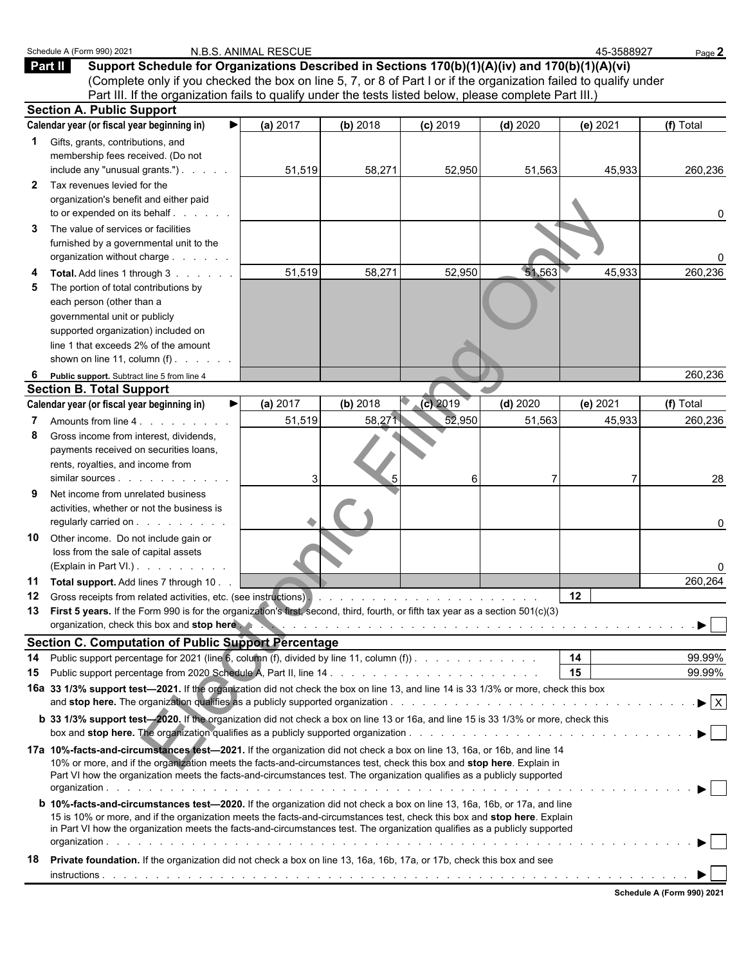|              | Schedule A (Form 990) 2021<br>Support Schedule for Organizations Described in Sections 170(b)(1)(A)(iv) and 170(b)(1)(A)(vi)<br><b>Part II</b><br>(Complete only if you checked the box on line 5, 7, or 8 of Part I or if the organization failed to qualify under                                                                                                                                                                                                                                           | N.B.S. ANIMAL RESCUE |          |             |             | 45-3588927                           | Page 2                         |
|--------------|---------------------------------------------------------------------------------------------------------------------------------------------------------------------------------------------------------------------------------------------------------------------------------------------------------------------------------------------------------------------------------------------------------------------------------------------------------------------------------------------------------------|----------------------|----------|-------------|-------------|--------------------------------------|--------------------------------|
|              | Part III. If the organization fails to qualify under the tests listed below, please complete Part III.)<br><b>Section A. Public Support</b>                                                                                                                                                                                                                                                                                                                                                                   |                      |          |             |             |                                      |                                |
|              | Calendar year (or fiscal year beginning in)                                                                                                                                                                                                                                                                                                                                                                                                                                                                   | (a) 2017             | (b) 2018 | $(c)$ 2019  | $(d)$ 2020  | (e) 2021                             | (f) Total                      |
| $\mathbf{2}$ | <b>1</b> Gifts, grants, contributions, and<br>membership fees received. (Do not<br>include any "unusual grants.")<br>Tax revenues levied for the                                                                                                                                                                                                                                                                                                                                                              | 51,519               | 58,271   | 52,950      | 51,563      | 45,933                               | 260,236                        |
|              | organization's benefit and either paid<br>to or expended on its behalf                                                                                                                                                                                                                                                                                                                                                                                                                                        |                      |          |             |             |                                      | 0                              |
| 3            | The value of services or facilities<br>furnished by a governmental unit to the<br>organization without charge                                                                                                                                                                                                                                                                                                                                                                                                 |                      |          |             |             |                                      | 0                              |
| 5            | Total. Add lines 1 through 3<br>The portion of total contributions by<br>each person (other than a<br>governmental unit or publicly<br>supported organization) included on<br>line 1 that exceeds 2% of the amount                                                                                                                                                                                                                                                                                            | 51,519               | 58,271   | 52,950      | 51,563      | 45,933                               | 260,236                        |
|              | shown on line 11, column $(f)$ .                                                                                                                                                                                                                                                                                                                                                                                                                                                                              |                      |          |             |             |                                      |                                |
|              | Public support. Subtract line 5 from line 4                                                                                                                                                                                                                                                                                                                                                                                                                                                                   |                      |          |             |             |                                      | 260,236                        |
|              | <b>Section B. Total Support</b>                                                                                                                                                                                                                                                                                                                                                                                                                                                                               |                      |          |             |             |                                      |                                |
|              | Calendar year (or fiscal year beginning in)                                                                                                                                                                                                                                                                                                                                                                                                                                                                   | (a) 2017             | (b) 2018 | $(c)$ 2019  | $(d)$ 2020  | (e) 2021                             | (f) Total                      |
| 8            | Amounts from line 4.<br>Gross income from interest, dividends,<br>payments received on securities loans,<br>rents, royalties, and income from                                                                                                                                                                                                                                                                                                                                                                 | 51,519<br>3          | 58,271   | 52,950<br>6 | 51,563<br>7 | 45,933                               | 260,236<br>28                  |
| 9            | Net income from unrelated business<br>activities, whether or not the business is<br>regularly carried on                                                                                                                                                                                                                                                                                                                                                                                                      |                      |          |             |             |                                      | 0                              |
| 10           | Other income. Do not include gain or<br>loss from the sale of capital assets<br>(Explain in Part VI.).                                                                                                                                                                                                                                                                                                                                                                                                        |                      |          |             |             |                                      |                                |
| 11<br>12     | Total support. Add lines 7 through 10.<br>13 First 5 years. If the Form 990 is for the organization's first, second, third, fourth, or fifth tax year as a section 501(c)(3)                                                                                                                                                                                                                                                                                                                                  |                      |          |             |             | $12 \,$                              | 260,264                        |
|              | organization, check this box and stop here we have a series of the content of the content of the content of the content of the content of the content of the content of the content of the content of the content of the conte                                                                                                                                                                                                                                                                                |                      |          |             |             |                                      |                                |
|              | <b>Section C. Computation of Public Support Percentage</b>                                                                                                                                                                                                                                                                                                                                                                                                                                                    |                      |          |             |             |                                      |                                |
| 14           |                                                                                                                                                                                                                                                                                                                                                                                                                                                                                                               |                      |          |             |             | 14<br>15                             | 99.99%<br>99.99%               |
| 15           | 16a 33 1/3% support test-2021. If the organization did not check the box on line 13, and line 14 is 33 1/3% or more, check this box                                                                                                                                                                                                                                                                                                                                                                           |                      |          |             |             |                                      | $\blacktriangleright$ $\mid$ X |
|              | <b>b</b> 33 1/3% support test-2020. If the organization did not check a box on line 13 or 16a, and line 15 is 33 1/3% or more, check this                                                                                                                                                                                                                                                                                                                                                                     |                      |          |             |             |                                      |                                |
|              | 17a 10%-facts-and-circumstances test-2021. If the organization did not check a box on line 13, 16a, or 16b, and line 14<br>10% or more, and if the organization meets the facts-and-circumstances test, check this box and stop here. Explain in<br>Part VI how the organization meets the facts-and-circumstances test. The organization qualifies as a publicly supported<br><b>b 10%-facts-and-circumstances test-2020.</b> If the organization did not check a box on line 13, 16a, 16b, or 17a, and line |                      |          |             |             | and the second control of the second |                                |
|              | 15 is 10% or more, and if the organization meets the facts-and-circumstances test, check this box and stop here. Explain<br>in Part VI how the organization meets the facts-and-circumstances test. The organization qualifies as a publicly supported                                                                                                                                                                                                                                                        |                      |          |             |             |                                      |                                |
| 18           | Private foundation. If the organization did not check a box on line 13, 16a, 16b, 17a, or 17b, check this box and see                                                                                                                                                                                                                                                                                                                                                                                         |                      |          |             |             |                                      |                                |
|              |                                                                                                                                                                                                                                                                                                                                                                                                                                                                                                               |                      |          |             |             |                                      |                                |

**Schedule A (Form 990) 2021**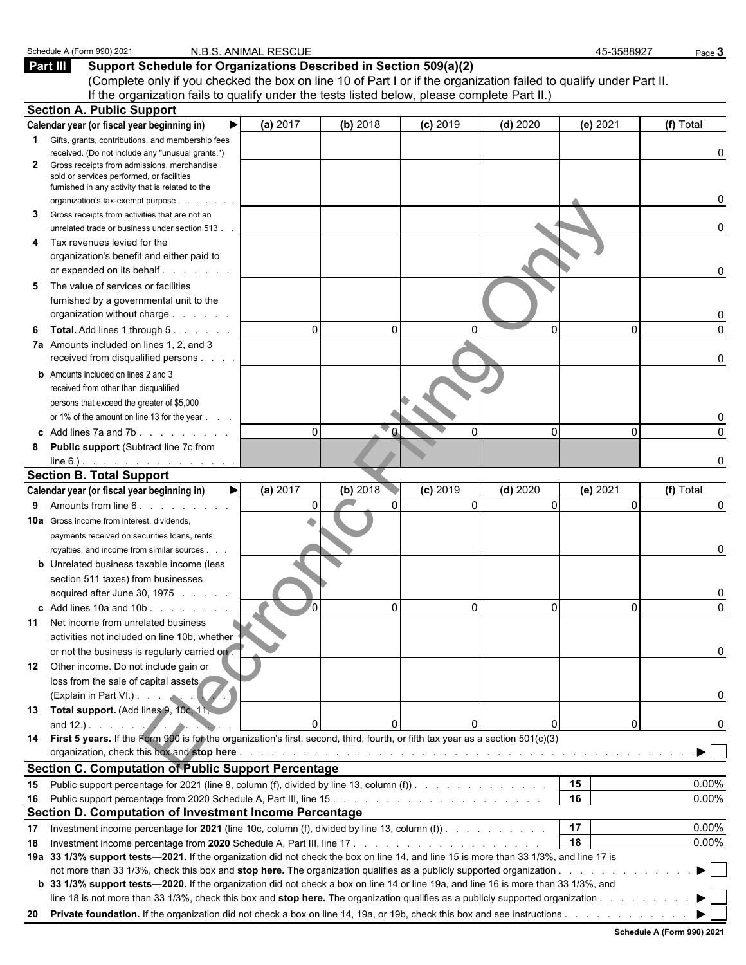|              | Schedule A (Form 990) 2021                                                                                                             | N.B.S. ANIMAL RESCUE |          |                        |                            | 45-3588927                                                                                                    | Page 3    |
|--------------|----------------------------------------------------------------------------------------------------------------------------------------|----------------------|----------|------------------------|----------------------------|---------------------------------------------------------------------------------------------------------------|-----------|
|              | Part III<br>Support Schedule for Organizations Described in Section 509(a)(2)                                                          |                      |          |                        |                            |                                                                                                               |           |
|              | (Complete only if you checked the box on line 10 of Part I or if the organization failed to qualify under Part II.                     |                      |          |                        |                            |                                                                                                               |           |
|              | If the organization fails to qualify under the tests listed below, please complete Part II.)                                           |                      |          |                        |                            |                                                                                                               |           |
|              | <b>Section A. Public Support</b>                                                                                                       |                      |          |                        |                            |                                                                                                               |           |
|              | Calendar year (or fiscal year beginning in)                                                                                            | (a) 2017             | (b) 2018 | $(c)$ 2019             | $(d)$ 2020                 | (e) 2021                                                                                                      | (f) Total |
| $\mathbf 1$  | Gifts, grants, contributions, and membership fees                                                                                      |                      |          |                        |                            |                                                                                                               |           |
|              | received. (Do not include any "unusual grants.")<br>Gross receipts from admissions, merchandise                                        |                      |          |                        |                            |                                                                                                               | 0         |
| $\mathbf{2}$ | sold or services performed, or facilities                                                                                              |                      |          |                        |                            |                                                                                                               |           |
|              | furnished in any activity that is related to the                                                                                       |                      |          |                        |                            |                                                                                                               |           |
|              | organization's tax-exempt purpose                                                                                                      |                      |          |                        |                            |                                                                                                               |           |
| З            | Gross receipts from activities that are not an                                                                                         |                      |          |                        |                            |                                                                                                               |           |
|              | unrelated trade or business under section 513.                                                                                         |                      |          |                        |                            |                                                                                                               | n         |
| 4            | Tax revenues levied for the<br>organization's benefit and either paid to                                                               |                      |          |                        |                            |                                                                                                               |           |
|              | or expended on its behalf.<br>a na manana                                                                                              |                      |          |                        |                            |                                                                                                               | 0         |
| 5            | The value of services or facilities                                                                                                    |                      |          |                        |                            |                                                                                                               |           |
|              | furnished by a governmental unit to the                                                                                                |                      |          |                        |                            |                                                                                                               |           |
|              | organization without charge                                                                                                            |                      |          |                        |                            |                                                                                                               |           |
| 6            | Total. Add lines 1 through 5.                                                                                                          | $\Omega$             | $\Omega$ | U                      | $\Omega$                   | 0                                                                                                             | $\Omega$  |
|              | 7a Amounts included on lines 1, 2, and 3                                                                                               |                      |          |                        |                            |                                                                                                               |           |
|              | received from disqualified persons                                                                                                     |                      |          |                        |                            |                                                                                                               | 0         |
|              | <b>b</b> Amounts included on lines 2 and 3                                                                                             |                      |          |                        |                            |                                                                                                               |           |
|              | received from other than disqualified                                                                                                  |                      |          |                        |                            |                                                                                                               |           |
|              | persons that exceed the greater of \$5,000                                                                                             |                      |          |                        |                            |                                                                                                               |           |
|              | or 1% of the amount on line 13 for the year                                                                                            |                      |          |                        |                            |                                                                                                               |           |
|              | c Add lines $7a$ and $7b$ . $\ldots$ $\ldots$                                                                                          | $\Omega$             |          | $\Omega$               | $\Omega$                   | 0                                                                                                             | $\Omega$  |
| 8            | Public support (Subtract line 7c from                                                                                                  |                      |          |                        |                            |                                                                                                               |           |
|              |                                                                                                                                        |                      |          |                        |                            |                                                                                                               |           |
|              | <b>Section B. Total Support</b>                                                                                                        |                      |          |                        |                            |                                                                                                               |           |
|              | Calendar year (or fiscal year beginning in)                                                                                            | (a) 2017             | (b) 2018 | $(c)$ 2019<br>$\Omega$ | $(d)$ 2020<br>$\mathbf{0}$ | (e) 2021<br>$\Omega$                                                                                          | (f) Total |
| 9            | Amounts from line 6.                                                                                                                   |                      |          |                        |                            |                                                                                                               | 0         |
|              | <b>10a</b> Gross income from interest, dividends,                                                                                      |                      |          |                        |                            |                                                                                                               |           |
|              | payments received on securities loans, rents,<br>royalties, and income from similar sources.                                           |                      |          |                        |                            |                                                                                                               | 0         |
|              | <b>b</b> Unrelated business taxable income (less                                                                                       |                      |          |                        |                            |                                                                                                               |           |
|              | section 511 taxes) from businesses                                                                                                     |                      |          |                        |                            |                                                                                                               |           |
|              | acquired after June 30, 1975                                                                                                           |                      |          |                        |                            |                                                                                                               |           |
|              | $\text{c}$ Add lines 10a and 10b $\ldots$                                                                                              | 70                   | $\Omega$ | $\Omega$               | 0                          | 0                                                                                                             | $\Omega$  |
|              | <b>11</b> Net income from unrelated business                                                                                           |                      |          |                        |                            |                                                                                                               |           |
|              | activities not included on line 10b, whether                                                                                           |                      |          |                        |                            |                                                                                                               |           |
|              | or not the business is regularly carried on.                                                                                           |                      |          |                        |                            |                                                                                                               | 0         |
| 12           | Other income. Do not include gain or                                                                                                   |                      |          |                        |                            |                                                                                                               |           |
|              | loss from the sale of capital assets                                                                                                   |                      |          |                        |                            |                                                                                                               |           |
|              | (Explain in Part VI.)                                                                                                                  |                      |          |                        |                            |                                                                                                               | 0         |
|              | 13 Total support. (Add lines 9, 10c, 11,                                                                                               |                      |          |                        |                            |                                                                                                               |           |
|              | and $12.$ ).                                                                                                                           |                      |          |                        | 0                          | 0                                                                                                             | 0         |
|              | 14 First 5 years. If the Form 990 is for the organization's first, second, third, fourth, or fifth tax year as a section 501(c)(3)     |                      |          |                        |                            |                                                                                                               |           |
|              | organization, check this box and stop here.                                                                                            |                      |          |                        |                            | والمتحاوية والمتحاولة والمتحاولة والمتحاولة والمتحاولة والمتحاولة والمتحاولة والمتحاولة والمتحاولة والمتحاولة |           |
|              | <b>Section C. Computation of Public Support Percentage</b>                                                                             |                      |          |                        |                            |                                                                                                               |           |
| 15           | Public support percentage for 2021 (line 8, column (f), divided by line 13, column (f))                                                |                      |          |                        |                            | 15                                                                                                            | 0.00%     |
| 16           |                                                                                                                                        |                      |          |                        |                            | 16                                                                                                            | 0.00%     |
|              | Section D. Computation of Investment Income Percentage                                                                                 |                      |          |                        |                            | 17                                                                                                            |           |
| 17           | Investment income percentage for 2021 (line 10c, column (f), divided by line 13, column (f)).                                          |                      |          |                        |                            | 18                                                                                                            | 0.00%     |
| 18           | 19a 33 1/3% support tests-2021. If the organization did not check the box on line 14, and line 15 is more than 33 1/3%, and line 17 is |                      |          |                        |                            |                                                                                                               | 0.00%     |
|              |                                                                                                                                        |                      |          |                        |                            |                                                                                                               |           |
|              | b 33 1/3% support tests-2020. If the organization did not check a box on line 14 or line 19a, and line 16 is more than 33 1/3%, and    |                      |          |                        |                            |                                                                                                               |           |
|              | line 18 is not more than 33 1/3%, check this box and stop here. The organization qualifies as a publicly supported organization        |                      |          |                        |                            |                                                                                                               |           |
|              |                                                                                                                                        |                      |          |                        |                            |                                                                                                               |           |
|              |                                                                                                                                        |                      |          |                        |                            |                                                                                                               |           |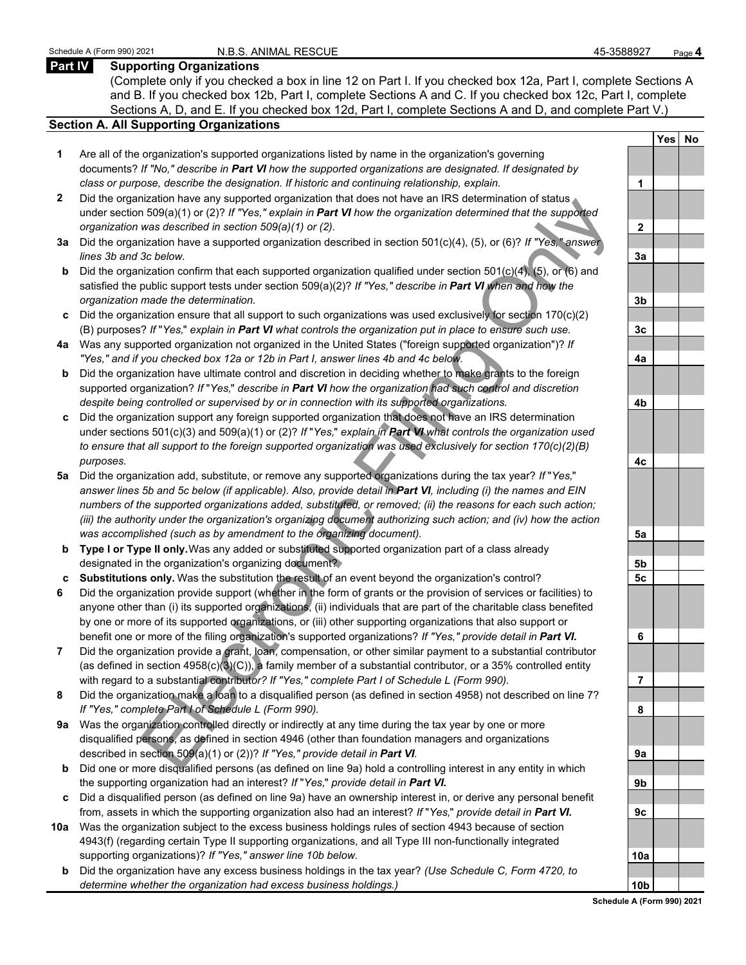## **Part IV Supporting Organizations**

(Complete only if you checked a box in line 12 on Part I. If you checked box 12a, Part I, complete Sections A and B. If you checked box 12b, Part I, complete Sections A and C. If you checked box 12c, Part I, complete Sections A, D, and E. If you checked box 12d, Part I, complete Sections A and D, and complete Part V.)

### **Section A. All Supporting Organizations**

- **1** Are all of the organization's supported organizations listed by name in the organization's governing documents? *If "No," describe in Part VI how the supported organizations are designated. If designated by class or purpose, describe the designation. If historic and continuing relationship, explain.* **1**
- **2** Did the organization have any supported organization that does not have an IRS determination of status under section 509(a)(1) or (2)? *If "Yes," explain in Part VI how the organization determined that the supported organization was described in section 509(a)(1) or (2).*
- **3a** Did the organization have a supported organization described in section 501(c)(4), (5), or (6)? *If "Yes," answer lines 3b and 3c below.*
- **b** Did the organization confirm that each supported organization qualified under section 501(c)(4), (5), or (6) and satisfied the public support tests under section 509(a)(2)? *If "Yes," describe in Part VI when and how the organization made the determination.* **3b**
- **c** Did the organization ensure that all support to such organizations was used exclusively for section 170(c)(2) (B) purposes? *If* "*Yes,*" *explain in Part VI what controls the organization put in place to ensure such use.* **3c**
- **4a** Was any supported organization not organized in the United States ("foreign supported organization")? *If "Yes," and if you checked box 12a or 12b in Part I, answer lines 4b and 4c below.* **4a**
- **b** Did the organization have ultimate control and discretion in deciding whether to make grants to the foreign supported organization? *If* "*Yes,*" *describe in Part VI how the organization had such control and discretion despite being controlled or supervised by or in connection with its supported organizations.* **4b**
- **c** Did the organization support any foreign supported organization that does not have an IRS determination under sections 501(c)(3) and 509(a)(1) or (2)? *If* "*Yes,*" *explain in Part VI what controls the organization used to ensure that all support to the foreign supported organization was used exclusively for section 170(c)(2)(B) purposes.* **4c**
- the<br>and interesting supported to galaxial and in the distribution and the support of the support of the support of the supported to the supported to the supported that the supported that the supported that the supported th **5a** Did the organization add, substitute, or remove any supported organizations during the tax year? *If* "*Yes,*" *answer lines 5b and 5c below (if applicable). Also, provide detail in Part VI, including (i) the names and EIN numbers of the supported organizations added, substituted, or removed; (ii) the reasons for each such action; (iii) the authority under the organization's organizing document authorizing such action; and (iv) how the action was accomplished (such as by amendment to the organizing document).* **5a**
- **b Type I or Type II only.** Was any added or substituted supported organization part of a class already designated in the organization's organizing document? **5b**
- **c Substitutions only.** Was the substitution the result of an event beyond the organization's control? **5c**
- **6** Did the organization provide support (whether in the form of grants or the provision of services or facilities) to anyone other than (i) its supported organizations, (ii) individuals that are part of the charitable class benefited by one or more of its supported organizations, or (iii) other supporting organizations that also support or benefit one or more of the filing organization's supported organizations? *If "Yes," provide detail in Part VI.* **6**
- **7** Did the organization provide a grant, loan, compensation, or other similar payment to a substantial contributor (as defined in section 4958(c)(3)(C)), a family member of a substantial contributor, or a 35% controlled entity with regard to a substantial contribut*or? If "Yes," complete Part I of Schedule L (Form 990).* **7**
- **8** Did the organization make a loan to a disqualified person (as defined in section 4958) not described on line 7? *If "Yes," complete Part I of Schedule L (Form 990).* **8**
- **9a** Was the organization controlled directly or indirectly at any time during the tax year by one or more disqualified persons, as defined in section 4946 (other than foundation managers and organizations described in section 509(a)(1) or (2))? *If "Yes," provide detail in Part VI.* **9a**
- **b** Did one or more disqualified persons (as defined on line 9a) hold a controlling interest in any entity in which the supporting organization had an interest? *If* "*Yes,*" *provide detail in Part VI.* **9b**
- **c** Did a disqualified person (as defined on line 9a) have an ownership interest in, or derive any personal benefit from, assets in which the supporting organization also had an interest? *If* "*Yes,*" *provide detail in Part VI.* **9c**
- **10a** Was the organization subject to the excess business holdings rules of section 4943 because of section 4943(f) (regarding certain Type II supporting organizations, and all Type III non-functionally integrated supporting organizations)? If "Yes," answer line 10b below.
	- **b** Did the organization have any excess business holdings in the tax year? *(Use Schedule C, Form 4720, to determine whether the organization had excess business holdings.)*

|                 | $\mathsf{l}$<br>Yes | <b>No</b> |
|-----------------|---------------------|-----------|
|                 |                     |           |
| 1               |                     |           |
|                 |                     |           |
| $\overline{2}$  |                     |           |
|                 |                     |           |
| <u>3a</u>       |                     |           |
|                 |                     |           |
| <u>3b</u>       |                     |           |
|                 |                     |           |
| 3c              |                     |           |
|                 |                     |           |
| 4a              |                     |           |
|                 |                     |           |
| 4 <sub>b</sub>  |                     |           |
|                 |                     |           |
|                 |                     |           |
| 4c              |                     |           |
|                 |                     |           |
|                 |                     |           |
|                 |                     |           |
|                 |                     |           |
| <u>5a</u>       |                     |           |
|                 |                     |           |
| <u>5b</u>       |                     |           |
| <u>5c</u>       |                     |           |
|                 |                     |           |
| 6               |                     |           |
|                 |                     |           |
|                 |                     |           |
| ſ               |                     |           |
|                 |                     |           |
| 8               |                     |           |
|                 |                     |           |
| <u>9a</u>       |                     |           |
|                 |                     |           |
| 9 <sub>b</sub>  |                     |           |
|                 |                     |           |
| <u>9c</u>       |                     |           |
|                 |                     |           |
| <u>10a</u>      |                     |           |
|                 |                     |           |
| 10 <sub>b</sub> |                     |           |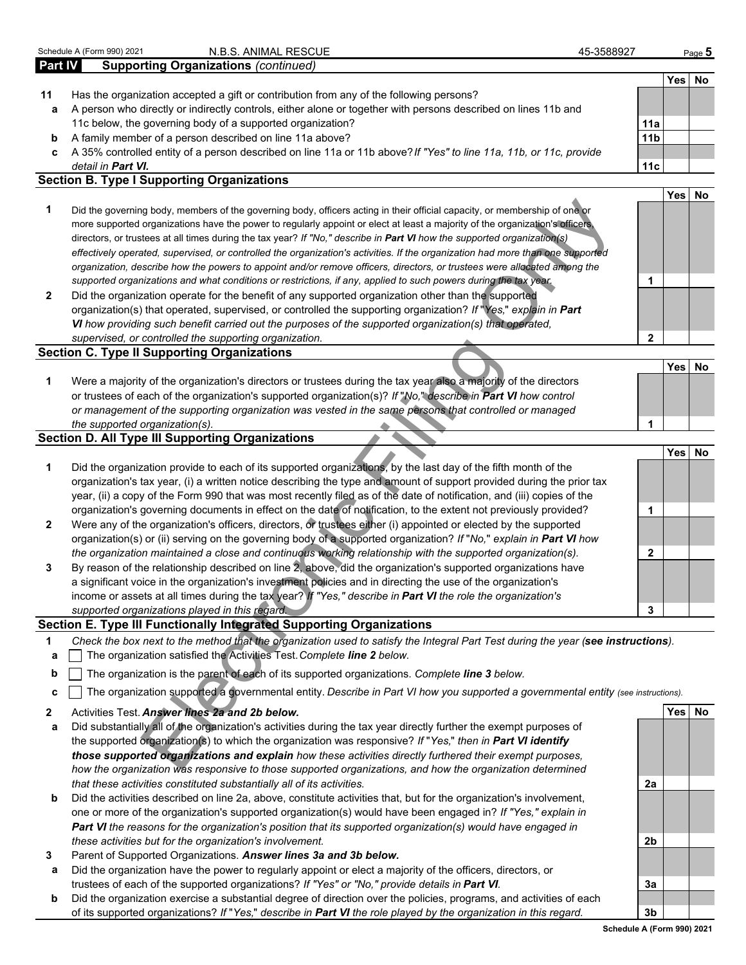|                | Schedule A (Form 990) 2021<br>N.B.S. ANIMAL RESCUE                                                                                                                                                                      | 45-3588927      |            | Page $5$ |
|----------------|-------------------------------------------------------------------------------------------------------------------------------------------------------------------------------------------------------------------------|-----------------|------------|----------|
| <b>Part IV</b> | <b>Supporting Organizations (continued)</b>                                                                                                                                                                             |                 |            |          |
|                |                                                                                                                                                                                                                         |                 | Yes        | No       |
| 11             | Has the organization accepted a gift or contribution from any of the following persons?                                                                                                                                 |                 |            |          |
| а              | A person who directly or indirectly controls, either alone or together with persons described on lines 11b and                                                                                                          |                 |            |          |
|                | 11c below, the governing body of a supported organization?                                                                                                                                                              | 11a             |            |          |
| b              | A family member of a person described on line 11a above?                                                                                                                                                                | 11 <sub>b</sub> |            |          |
| c              | A 35% controlled entity of a person described on line 11a or 11b above? If "Yes" to line 11a, 11b, or 11c, provide                                                                                                      |                 |            |          |
|                | detail in Part VI.                                                                                                                                                                                                      | 11c             |            |          |
|                | <b>Section B. Type I Supporting Organizations</b>                                                                                                                                                                       |                 |            |          |
|                |                                                                                                                                                                                                                         |                 | Yes        | No       |
| 1              | Did the governing body, members of the governing body, officers acting in their official capacity, or membership of one or                                                                                              |                 |            |          |
|                | more supported organizations have the power to regularly appoint or elect at least a majority of the organization's officers,                                                                                           |                 |            |          |
|                | directors, or trustees at all times during the tax year? If "No," describe in Part VI how the supported organization(s)                                                                                                 |                 |            |          |
|                | effectively operated, supervised, or controlled the organization's activities. If the organization had more than one supported                                                                                          |                 |            |          |
|                | organization, describe how the powers to appoint and/or remove officers, directors, or trustees were allocated among the                                                                                                |                 |            |          |
|                | supported organizations and what conditions or restrictions, if any, applied to such powers during the tax year.                                                                                                        | 1               |            |          |
| 2              | Did the organization operate for the benefit of any supported organization other than the supported                                                                                                                     |                 |            |          |
|                | organization(s) that operated, supervised, or controlled the supporting organization? If "Yes," explain in Part                                                                                                         |                 |            |          |
|                | VI how providing such benefit carried out the purposes of the supported organization(s) that operated,                                                                                                                  |                 |            |          |
|                | supervised, or controlled the supporting organization.                                                                                                                                                                  | $\overline{2}$  |            |          |
|                | <b>Section C. Type II Supporting Organizations</b>                                                                                                                                                                      |                 |            |          |
|                |                                                                                                                                                                                                                         |                 | <b>Yes</b> | No       |
| 1              | Were a majority of the organization's directors or trustees during the tax year also a majority of the directors                                                                                                        |                 |            |          |
|                | or trustees of each of the organization's supported organization(s)? If "No," describe in Part VI how control<br>or management of the supporting organization was vested in the same persons that controlled or managed |                 |            |          |
|                | the supported organization(s).                                                                                                                                                                                          | 1               |            |          |
|                | <b>Section D. All Type III Supporting Organizations</b>                                                                                                                                                                 |                 |            |          |
|                |                                                                                                                                                                                                                         |                 | Yes        | No       |
| 1              | Did the organization provide to each of its supported organizations, by the last day of the fifth month of the                                                                                                          |                 |            |          |
|                | organization's tax year, (i) a written notice describing the type and amount of support provided during the prior tax                                                                                                   |                 |            |          |
|                | year, (ii) a copy of the Form 990 that was most recently filed as of the date of notification, and (iii) copies of the                                                                                                  |                 |            |          |
|                | organization's governing documents in effect on the date of notification, to the extent not previously provided?                                                                                                        | 1               |            |          |
| 2              | Were any of the organization's officers, directors, or trustees either (i) appointed or elected by the supported                                                                                                        |                 |            |          |
|                | organization(s) or (ii) serving on the governing body of a supported organization? If "No," explain in Part VI how                                                                                                      |                 |            |          |
|                | the organization maintained a close and continuous working relationship with the supported organization(s).                                                                                                             | 2               |            |          |
| 3              | By reason of the relationship described on line 2, above, did the organization's supported organizations have                                                                                                           |                 |            |          |
|                | a significant voice in the organization's investment policies and in directing the use of the organization's                                                                                                            |                 |            |          |
|                | income or assets at all times during the tax year? If "Yes," describe in <b>Part VI</b> the role the organization's                                                                                                     |                 |            |          |
|                | supported organizations played in this regard.                                                                                                                                                                          | 3               |            |          |
|                | Section E. Type III Functionally Integrated Supporting Organizations                                                                                                                                                    |                 |            |          |
| 1              | Check the box next to the method that the organization used to satisfy the Integral Part Test during the year (see instructions).                                                                                       |                 |            |          |
| a              | The organization satisfied the Activities Test. Complete line 2 below.                                                                                                                                                  |                 |            |          |
| b              | The organization is the parent of each of its supported organizations. Complete line 3 below.                                                                                                                           |                 |            |          |
|                |                                                                                                                                                                                                                         |                 |            |          |
| c              | The organization supported a governmental entity. Describe in Part VI how you supported a governmental entity (see instructions).                                                                                       |                 |            |          |
| 2              | Activities Test. Answer lines 2a and 2b below.                                                                                                                                                                          |                 | Yes No     |          |
| а              | Did substantially all of the organization's activities during the tax year directly further the exempt purposes of                                                                                                      |                 |            |          |
|                | the supported organization(s) to which the organization was responsive? If "Yes," then in Part VI identify                                                                                                              |                 |            |          |
|                | those supported organizations and explain how these activities directly furthered their exempt purposes,                                                                                                                |                 |            |          |
|                | how the organization was responsive to those supported organizations, and how the organization determined                                                                                                               |                 |            |          |

- *those supported organizations and explain how these activities directly furthered their exempt purposes, how the organization was responsive to those supported organizations, and how the organization determined that these activities constituted substantially all of its activities.* **2a**
- **b** Did the activities described on line 2a, above, constitute activities that, but for the organization's involvement, one or more of the organization's supported organization(s) would have been engaged in? *If "Yes," explain in Part VI the reasons for the organization's position that its supported organization(s) would have engaged in these activities but for the organization's involvement.* **2b**
- **3** Parent of Supported Organizations. *Answer lines 3a and 3b below.*
- **a** Did the organization have the power to regularly appoint or elect a majority of the officers, directors, or trustees of each of the supported organizations? *If "Yes" or "No," provide details in Part VI.* **3a**
- **b** Did the organization exercise a substantial degree of direction over the policies, programs, and activities of each of its supported organizations? *If* "*Yes,*" *describe in Part VI the role played by the organization in this regard.* **3b**

**Schedule A (Form 990) 2021**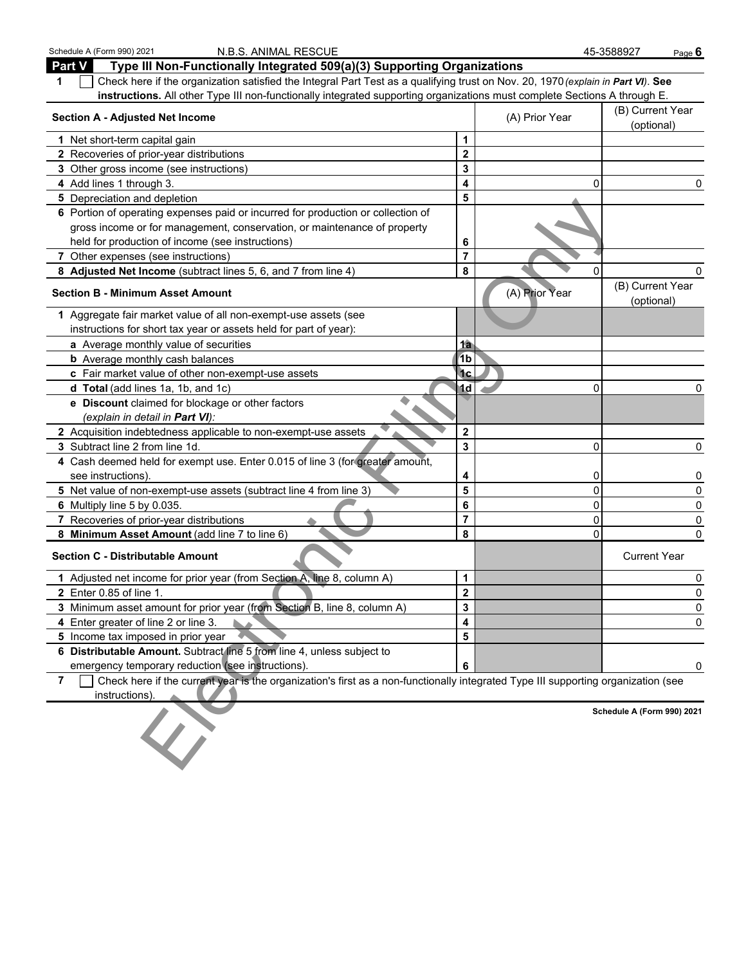| Schedule A (Form 990) 2021<br>N.B.S. ANIMAL RESCUE                                                                                                  |                         |                | 45-3588927<br>Page $6$         |
|-----------------------------------------------------------------------------------------------------------------------------------------------------|-------------------------|----------------|--------------------------------|
| Part V<br>Type III Non-Functionally Integrated 509(a)(3) Supporting Organizations                                                                   |                         |                |                                |
| Check here if the organization satisfied the Integral Part Test as a qualifying trust on Nov. 20, 1970 (explain in Part VI). See<br>1               |                         |                |                                |
| instructions. All other Type III non-functionally integrated supporting organizations must complete Sections A through E.                           |                         |                |                                |
| <b>Section A - Adjusted Net Income</b>                                                                                                              |                         | (A) Prior Year | (B) Current Year<br>(optional) |
| 1 Net short-term capital gain                                                                                                                       | 1                       |                |                                |
| 2 Recoveries of prior-year distributions                                                                                                            | $\mathbf 2$             |                |                                |
| 3 Other gross income (see instructions)                                                                                                             | 3                       |                |                                |
| 4 Add lines 1 through 3.                                                                                                                            | 4                       | 0              | 0                              |
| 5 Depreciation and depletion                                                                                                                        | 5                       |                |                                |
| 6 Portion of operating expenses paid or incurred for production or collection of                                                                    |                         |                |                                |
| gross income or for management, conservation, or maintenance of property                                                                            |                         |                |                                |
| held for production of income (see instructions)                                                                                                    | 6                       |                |                                |
| 7 Other expenses (see instructions)                                                                                                                 | $\overline{7}$          |                |                                |
| 8 Adjusted Net Income (subtract lines 5, 6, and 7 from line 4)                                                                                      | 8                       | 0              | 0                              |
| <b>Section B - Minimum Asset Amount</b>                                                                                                             |                         | (A) Prior Year | (B) Current Year<br>(optional) |
| 1 Aggregate fair market value of all non-exempt-use assets (see                                                                                     |                         |                |                                |
| instructions for short tax year or assets held for part of year):                                                                                   |                         |                |                                |
| a Average monthly value of securities                                                                                                               | 1a                      |                |                                |
| <b>b</b> Average monthly cash balances                                                                                                              | 1 <sub>b</sub>          |                |                                |
| c Fair market value of other non-exempt-use assets                                                                                                  | <sup>1</sup> c          |                |                                |
| d Total (add lines 1a, 1b, and 1c)                                                                                                                  | 1d                      | 0              | 0                              |
| e Discount claimed for blockage or other factors                                                                                                    |                         |                |                                |
| (explain in detail in <b>Part VI</b> ):                                                                                                             |                         |                |                                |
| 2 Acquisition indebtedness applicable to non-exempt-use assets                                                                                      | $\mathbf 2$             |                |                                |
| 3 Subtract line 2 from line 1d.                                                                                                                     | 3                       | 0              | 0                              |
| 4 Cash deemed held for exempt use. Enter 0.015 of line 3 (for greater amount,                                                                       |                         |                |                                |
| see instructions).                                                                                                                                  | 4                       | 0              | 0                              |
| 5 Net value of non-exempt-use assets (subtract line 4 from line 3)                                                                                  | $\overline{\mathbf{5}}$ | 0              | 0                              |
| 6 Multiply line 5 by 0.035.                                                                                                                         | 6                       | 0              | 0                              |
| 7 Recoveries of prior-year distributions                                                                                                            | $\overline{7}$          | 0              | 0                              |
| 8 Minimum Asset Amount (add line 7 to line 6)                                                                                                       | 8                       | 0              | $\mathbf{0}$                   |
| <b>Section C - Distributable Amount</b>                                                                                                             |                         |                | <b>Current Year</b>            |
| 1 Adjusted net income for prior year (from Section A, line 8, column A)                                                                             | 1                       |                | 0                              |
| <b>2</b> Enter 0.85 of line 1.                                                                                                                      | $\mathbf{2}$            |                | 0                              |
| 3 Minimum asset amount for prior year (from Section B, line 8, column A)                                                                            | 3                       |                | 0                              |
| 4 Enter greater of line 2 or line 3.                                                                                                                | 4                       |                | 0                              |
| 5 Income tax imposed in prior year                                                                                                                  | 5                       |                |                                |
| 6 Distributable Amount. Subtract line 5 from line 4, unless subject to                                                                              |                         |                |                                |
| emergency temporary reduction (see instructions).                                                                                                   | 6                       |                | 0                              |
| Check here if the current year is the organization's first as a non-functionally integrated Type III supporting organization (see<br>$\overline{7}$ |                         |                |                                |
| instructions).                                                                                                                                      |                         |                |                                |
|                                                                                                                                                     |                         |                | Schedule A (Form 990) 2021     |
|                                                                                                                                                     |                         |                |                                |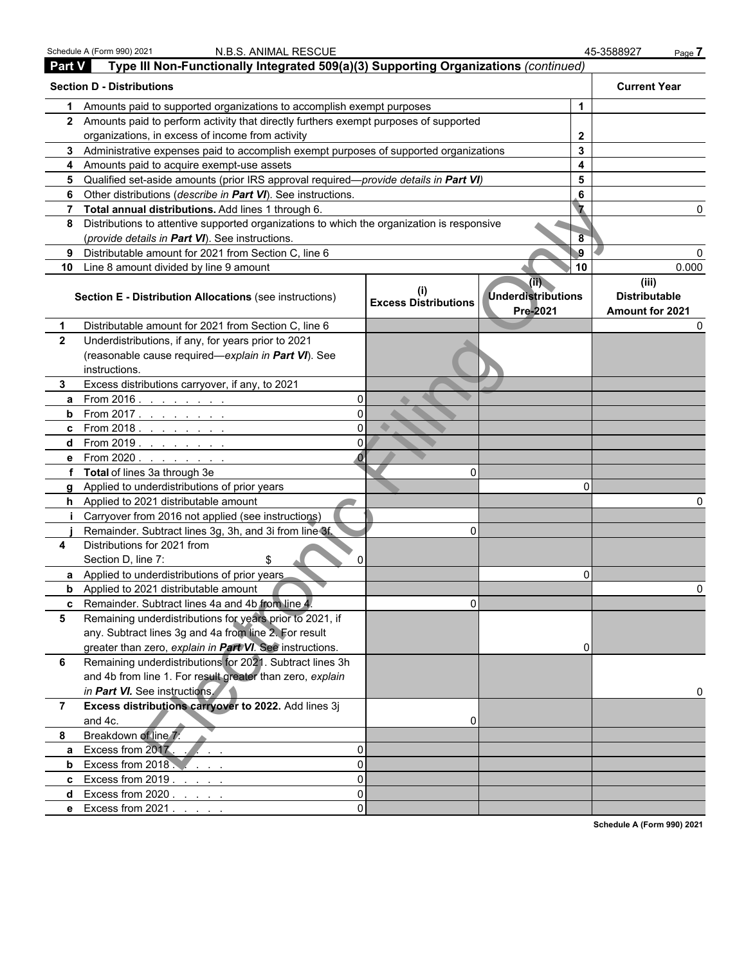|                | Schedule A (Form 990) 2021<br>N.B.S. ANIMAL RESCUE                                         |                                    |                                                         | 45-3588927<br>Page 7                             |  |
|----------------|--------------------------------------------------------------------------------------------|------------------------------------|---------------------------------------------------------|--------------------------------------------------|--|
| <b>Part V</b>  | Type III Non-Functionally Integrated 509(a)(3) Supporting Organizations (continued)        |                                    |                                                         |                                                  |  |
|                | <b>Section D - Distributions</b>                                                           |                                    |                                                         | <b>Current Year</b>                              |  |
| 1.             | Amounts paid to supported organizations to accomplish exempt purposes                      |                                    | 1                                                       |                                                  |  |
|                | 2 Amounts paid to perform activity that directly furthers exempt purposes of supported     |                                    |                                                         |                                                  |  |
|                | organizations, in excess of income from activity                                           |                                    | $\mathbf{2}$                                            |                                                  |  |
|                | 3 Administrative expenses paid to accomplish exempt purposes of supported organizations    |                                    | 3                                                       |                                                  |  |
|                | 4 Amounts paid to acquire exempt-use assets                                                |                                    | 4                                                       |                                                  |  |
| 5              | Qualified set-aside amounts (prior IRS approval required—provide details in Part VI)       |                                    | 5                                                       |                                                  |  |
| 6              | Other distributions (describe in Part VI). See instructions.                               |                                    | 6                                                       |                                                  |  |
| 7              | Total annual distributions. Add lines 1 through 6.                                         |                                    |                                                         |                                                  |  |
| 8              | Distributions to attentive supported organizations to which the organization is responsive |                                    |                                                         |                                                  |  |
|                | (provide details in Part VI). See instructions.                                            |                                    | 8                                                       |                                                  |  |
| 9              | Distributable amount for 2021 from Section C, line 6                                       |                                    | $\overline{9}$                                          |                                                  |  |
| 10             | Line 8 amount divided by line 9 amount                                                     |                                    | 10                                                      | 0.000                                            |  |
|                | <b>Section E - Distribution Allocations (see instructions)</b>                             | (i)<br><b>Excess Distributions</b> | $(\mathbb{H})$<br><b>Underdistributions</b><br>Pre-2021 | (iii)<br><b>Distributable</b><br>Amount for 2021 |  |
| 1.             | Distributable amount for 2021 from Section C, line 6                                       |                                    |                                                         |                                                  |  |
| $\mathbf{2}$   | Underdistributions, if any, for years prior to 2021                                        |                                    |                                                         |                                                  |  |
|                | (reasonable cause required-explain in Part VI). See<br>instructions.                       |                                    |                                                         |                                                  |  |
| 3              | Excess distributions carryover, if any, to 2021                                            |                                    |                                                         |                                                  |  |
| a              | From $2016.$ $\ldots$ $\ldots$ $\ldots$<br>$\Omega$                                        |                                    |                                                         |                                                  |  |
| b              | $\Omega$<br>From 2017.                                                                     |                                    |                                                         |                                                  |  |
| c              | $\Omega$<br>From 2018. $\ldots$                                                            |                                    |                                                         |                                                  |  |
| d              | $\Omega$<br>From 2019. $\ldots$                                                            |                                    |                                                         |                                                  |  |
| е              |                                                                                            |                                    |                                                         |                                                  |  |
|                | f Total of lines 3a through 3e                                                             | 0                                  |                                                         |                                                  |  |
|                | g Applied to underdistributions of prior years                                             |                                    | $\Omega$                                                |                                                  |  |
|                | h Applied to 2021 distributable amount                                                     |                                    |                                                         |                                                  |  |
|                | Carryover from 2016 not applied (see instructions)                                         |                                    |                                                         |                                                  |  |
|                | Remainder. Subtract lines 3g, 3h, and 3i from line 3f.                                     | 0                                  |                                                         |                                                  |  |
| 4              | Distributions for 2021 from<br>Section D, line 7:<br>S<br>$\Omega$                         |                                    |                                                         |                                                  |  |
|                | <b>a</b> Applied to underdistributions of prior years                                      |                                    | $\mathbf 0$                                             |                                                  |  |
|                | <b>b</b> Applied to 2021 distributable amount                                              |                                    |                                                         |                                                  |  |
| C              | Remainder. Subtract lines 4a and 4b from line 4.                                           | 0                                  |                                                         |                                                  |  |
| 5              | Remaining underdistributions for years prior to 2021, if                                   |                                    |                                                         |                                                  |  |
|                | any. Subtract lines 3g and 4a from line 2. For result                                      |                                    |                                                         |                                                  |  |
|                | greater than zero, explain in Part VI. See instructions.                                   |                                    | 0                                                       |                                                  |  |
| 6              | Remaining underdistributions for 2021. Subtract lines 3h                                   |                                    |                                                         |                                                  |  |
|                | and 4b from line 1. For result greater than zero, explain                                  |                                    |                                                         |                                                  |  |
|                | in Part VI. See instructions.                                                              |                                    |                                                         |                                                  |  |
| $\overline{7}$ | Excess distributions carryover to 2022. Add lines 3j<br>and 4c.                            | 0                                  |                                                         |                                                  |  |
| 8              | Breakdown of line 7:                                                                       |                                    |                                                         |                                                  |  |
| a              | Excess from 2017.<br>0                                                                     |                                    |                                                         |                                                  |  |
| b              | Excess from 2018<br>$\Omega$                                                               |                                    |                                                         |                                                  |  |
| C              | Excess from 2019<br>$\Omega$                                                               |                                    |                                                         |                                                  |  |
| d              | $\Omega$<br>Excess from 2020.                                                              |                                    |                                                         |                                                  |  |
|                | $\Omega$<br>e Excess from 2021.                                                            |                                    |                                                         |                                                  |  |
|                |                                                                                            |                                    |                                                         | Schedule A (Form 990) 2021                       |  |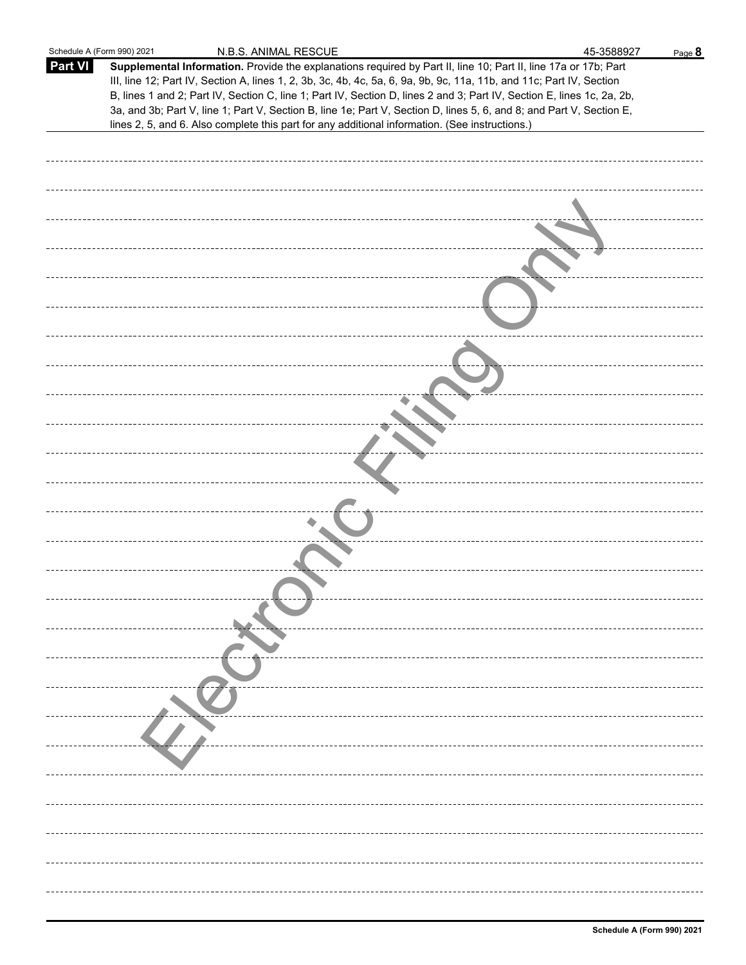| Schedule A (Form 990) 2021 | N.B.S. ANIMAL RESCUE                                                                                                                                                                                                                           | 45-3588927 | Page 8 |
|----------------------------|------------------------------------------------------------------------------------------------------------------------------------------------------------------------------------------------------------------------------------------------|------------|--------|
| Part VI                    | Supplemental Information. Provide the explanations required by Part II, line 10; Part II, line 17a or 17b; Part                                                                                                                                |            |        |
|                            | III, line 12; Part IV, Section A, lines 1, 2, 3b, 3c, 4b, 4c, 5a, 6, 9a, 9b, 9c, 11a, 11b, and 11c; Part IV, Section<br>B, lines 1 and 2; Part IV, Section C, line 1; Part IV, Section D, lines 2 and 3; Part IV, Section E, lines 1c, 2a, 2b, |            |        |
|                            | 3a, and 3b; Part V, line 1; Part V, Section B, line 1e; Part V, Section D, lines 5, 6, and 8; and Part V, Section E,                                                                                                                           |            |        |
|                            | lines 2, 5, and 6. Also complete this part for any additional information. (See instructions.)                                                                                                                                                 |            |        |
|                            |                                                                                                                                                                                                                                                |            |        |
|                            |                                                                                                                                                                                                                                                |            |        |
|                            |                                                                                                                                                                                                                                                |            |        |
|                            |                                                                                                                                                                                                                                                |            |        |
|                            |                                                                                                                                                                                                                                                |            |        |
|                            |                                                                                                                                                                                                                                                |            |        |
|                            |                                                                                                                                                                                                                                                |            |        |
|                            |                                                                                                                                                                                                                                                |            |        |
|                            |                                                                                                                                                                                                                                                |            |        |
|                            |                                                                                                                                                                                                                                                |            |        |
|                            |                                                                                                                                                                                                                                                |            |        |
|                            |                                                                                                                                                                                                                                                |            |        |
|                            |                                                                                                                                                                                                                                                |            |        |
|                            |                                                                                                                                                                                                                                                |            |        |
|                            |                                                                                                                                                                                                                                                |            |        |
|                            |                                                                                                                                                                                                                                                |            |        |
|                            |                                                                                                                                                                                                                                                |            |        |
|                            |                                                                                                                                                                                                                                                |            |        |
|                            |                                                                                                                                                                                                                                                |            |        |
|                            |                                                                                                                                                                                                                                                |            |        |
|                            |                                                                                                                                                                                                                                                |            |        |
|                            |                                                                                                                                                                                                                                                |            |        |
|                            |                                                                                                                                                                                                                                                |            |        |
|                            |                                                                                                                                                                                                                                                |            |        |
|                            |                                                                                                                                                                                                                                                |            |        |
|                            |                                                                                                                                                                                                                                                |            |        |
|                            |                                                                                                                                                                                                                                                |            |        |
|                            |                                                                                                                                                                                                                                                |            |        |
|                            |                                                                                                                                                                                                                                                |            |        |
|                            |                                                                                                                                                                                                                                                |            |        |
|                            |                                                                                                                                                                                                                                                |            |        |
|                            |                                                                                                                                                                                                                                                |            |        |
|                            |                                                                                                                                                                                                                                                |            |        |
|                            |                                                                                                                                                                                                                                                |            |        |
|                            |                                                                                                                                                                                                                                                |            |        |
|                            |                                                                                                                                                                                                                                                |            |        |
|                            |                                                                                                                                                                                                                                                |            |        |
|                            |                                                                                                                                                                                                                                                |            |        |
|                            |                                                                                                                                                                                                                                                |            |        |
|                            |                                                                                                                                                                                                                                                |            |        |
|                            |                                                                                                                                                                                                                                                |            |        |
|                            |                                                                                                                                                                                                                                                |            |        |
|                            |                                                                                                                                                                                                                                                |            |        |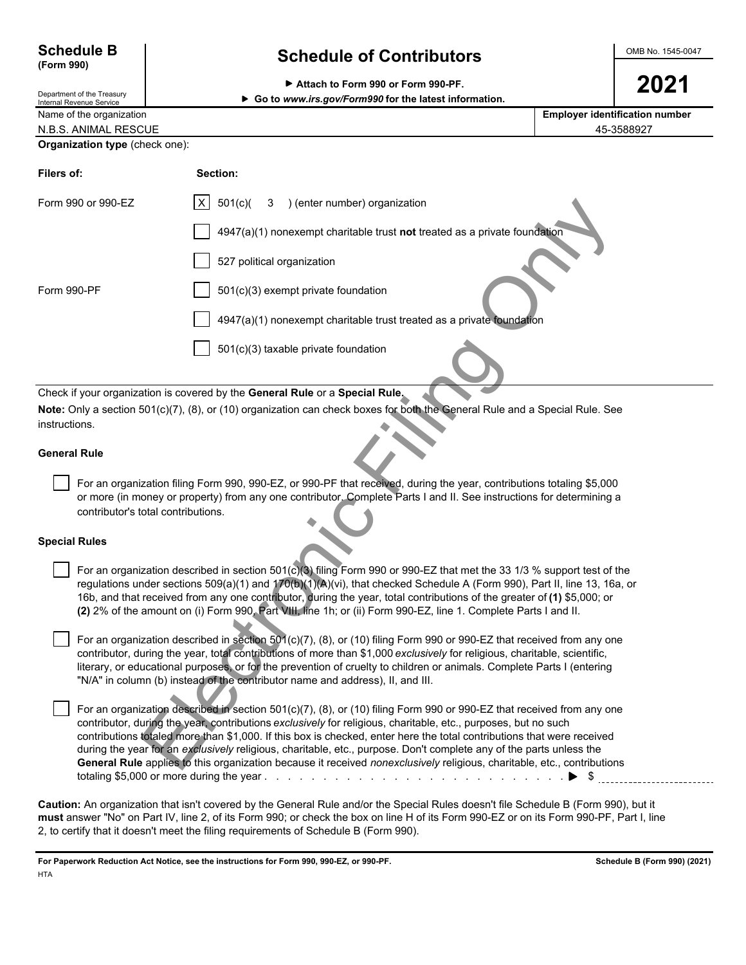| <b>Schedule B</b> |  |
|-------------------|--|
| (Form 990)        |  |

# Department of the Treasury

# **Schedule of Contributors CONS NO. 1545-0047**

| Attach to Form 990 or Form 990-PF. | 2021 |
|------------------------------------|------|
|------------------------------------|------|

**INTER INTERNAL REVENUE SERVICE CONSUMING THE SERVICE OF SERVICE SERVICE SERVICE SERVICE SERVICE SERVICE SERVICE SERVICE SERVICE SERVICE SERVICE SERVICE SERVICE SERVICE SERVICE SERVICE SERVICE SERVICE SERVICE SERVICE SERV** 

| Name of the organization              | <b>Employer identification number</b> |
|---------------------------------------|---------------------------------------|
| N.B.S. ANIMAL RESCUE                  | 45-3588927                            |
| <b>Organization type (check one):</b> |                                       |

| Filers of:           |                                    | Section:                                                                                                                                                                                                                                                                                                                                                                                                                                                                                                                                                                                                            |
|----------------------|------------------------------------|---------------------------------------------------------------------------------------------------------------------------------------------------------------------------------------------------------------------------------------------------------------------------------------------------------------------------------------------------------------------------------------------------------------------------------------------------------------------------------------------------------------------------------------------------------------------------------------------------------------------|
|                      | Form 990 or 990-EZ                 | 501(c)<br>X<br>) (enter number) organization<br>3                                                                                                                                                                                                                                                                                                                                                                                                                                                                                                                                                                   |
|                      |                                    | 4947(a)(1) nonexempt charitable trust not treated as a private foundation                                                                                                                                                                                                                                                                                                                                                                                                                                                                                                                                           |
|                      |                                    | 527 political organization                                                                                                                                                                                                                                                                                                                                                                                                                                                                                                                                                                                          |
| Form 990-PF          |                                    | 501(c)(3) exempt private foundation                                                                                                                                                                                                                                                                                                                                                                                                                                                                                                                                                                                 |
|                      |                                    | 4947(a)(1) nonexempt charitable trust treated as a private foundation                                                                                                                                                                                                                                                                                                                                                                                                                                                                                                                                               |
|                      |                                    | 501(c)(3) taxable private foundation                                                                                                                                                                                                                                                                                                                                                                                                                                                                                                                                                                                |
|                      |                                    | Check if your organization is covered by the General Rule or a Special Rule.                                                                                                                                                                                                                                                                                                                                                                                                                                                                                                                                        |
|                      |                                    | Note: Only a section 501(c)(7), (8), or (10) organization can check boxes for both the General Rule and a Special Rule. See                                                                                                                                                                                                                                                                                                                                                                                                                                                                                         |
| instructions.        |                                    |                                                                                                                                                                                                                                                                                                                                                                                                                                                                                                                                                                                                                     |
| <b>General Rule</b>  |                                    |                                                                                                                                                                                                                                                                                                                                                                                                                                                                                                                                                                                                                     |
|                      | contributor's total contributions. | For an organization filing Form 990, 990-EZ, or 990-PF that received, during the year, contributions totaling \$5,000<br>or more (in money or property) from any one contributor. Complete Parts I and II. See instructions for determining a                                                                                                                                                                                                                                                                                                                                                                       |
| <b>Special Rules</b> |                                    |                                                                                                                                                                                                                                                                                                                                                                                                                                                                                                                                                                                                                     |
|                      |                                    | For an organization described in section 501(c)(3) filing Form 990 or 990-EZ that met the 33 1/3 % support test of the<br>regulations under sections 509(a)(1) and 170(b)(1)(A)(vi), that checked Schedule A (Form 990), Part II, line 13, 16a, or<br>16b, and that received from any one contributor, during the year, total contributions of the greater of (1) \$5,000; or<br>(2) 2% of the amount on (i) Form 990, Part VIII, line 1h; or (ii) Form 990-EZ, line 1. Complete Parts I and II.                                                                                                                    |
|                      |                                    | For an organization described in section 501(c)(7), (8), or (10) filing Form 990 or 990-EZ that received from any one<br>contributor, during the year, total contributions of more than \$1,000 exclusively for religious, charitable, scientific,<br>literary, or educational purposes, or for the prevention of cruelty to children or animals. Complete Parts I (entering<br>"N/A" in column (b) instead of the contributor name and address), II, and III.                                                                                                                                                      |
|                      |                                    | For an organization described in section 501(c)(7), (8), or (10) filing Form 990 or 990-EZ that received from any one<br>contributor, during the year, contributions exclusively for religious, charitable, etc., purposes, but no such<br>contributions totaled more than \$1,000. If this box is checked, enter here the total contributions that were received<br>during the year for an exclusively religious, charitable, etc., purpose. Don't complete any of the parts unless the<br>General Rule applies to this organization because it received nonexclusively religious, charitable, etc., contributions |

### **General Rule**

#### **Special Rules**

 For an organization described in section 501(c)(7), (8), or (10) filing Form 990 or 990-EZ that received from any one contributor, during the year, contributions *exclusively* for religious, charitable, etc., purposes, but no such contributions totaled more than \$1,000. If this box is checked, enter here the total contributions that were received during the year for an *exclusively* religious, charitable, etc., purpose. Don't complete any of the parts unless the **General Rule** applies to this organization because it received *nonexclusively* religious, charitable, etc., contributions totaling \$5,000 or more during the year . . . . . . . . . . . . . . . . . . . . . . . . . . . . . . . . . . . . . . . . . . . . . . . . . . . \$

**Caution:** An organization that isn't covered by the General Rule and/or the Special Rules doesn't file Schedule B (Form 990), but it **must** answer "No" on Part IV, line 2, of its Form 990; or check the box on line H of its Form 990-EZ or on its Form 990-PF, Part I, line 2, to certify that it doesn't meet the filing requirements of Schedule B (Form 990).

**For Paperwork Reduction Act Notice, see the instructions for Form 990, 990-EZ, or 990-PF. Schedule B (Form 990) (2021) HTA**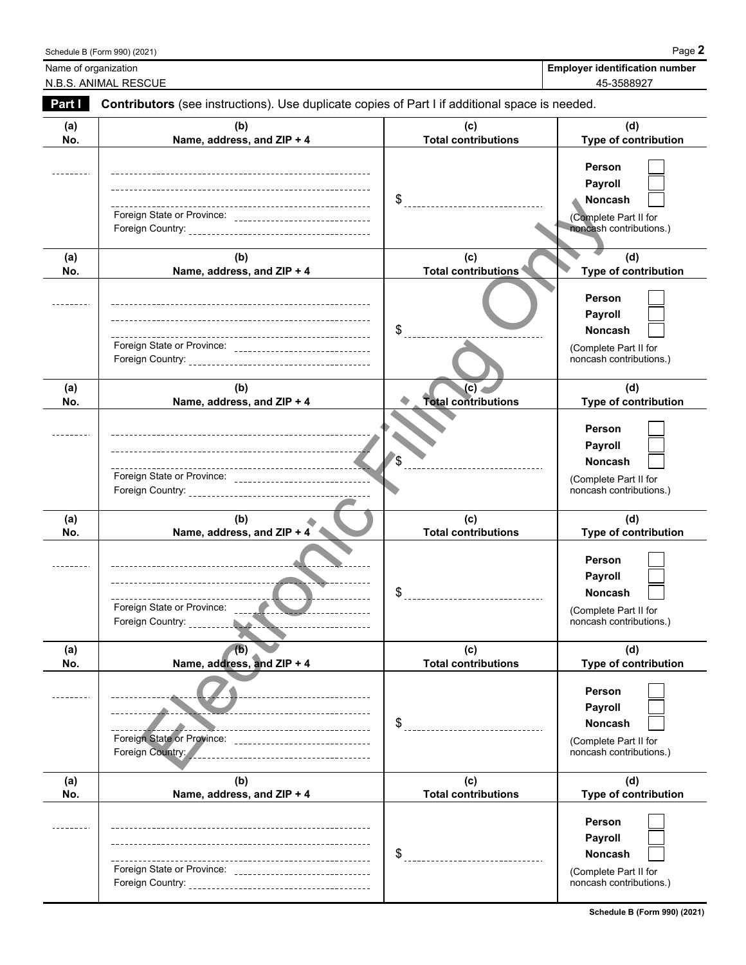|                      | Schedule B (Form 990) (2021)                                                                                                                                                                                                      |                                          | Page 2                                                                                         |
|----------------------|-----------------------------------------------------------------------------------------------------------------------------------------------------------------------------------------------------------------------------------|------------------------------------------|------------------------------------------------------------------------------------------------|
| Name of organization | N.B.S. ANIMAL RESCUE                                                                                                                                                                                                              |                                          | <b>Employer identification number</b><br>45-3588927                                            |
| Part I               | Contributors (see instructions). Use duplicate copies of Part I if additional space is needed.                                                                                                                                    |                                          |                                                                                                |
| (a)<br>No.           | (b)<br>Name, address, and ZIP + 4                                                                                                                                                                                                 | (C)<br><b>Total contributions</b>        | (d)<br>Type of contribution                                                                    |
|                      | Foreign State or Province: _________________________________                                                                                                                                                                      | $\$\$                                    | Person<br>Payroll<br><b>Noncash</b><br>(Complete Part II for<br>noncash contributions.)        |
| (a)<br>No.           | (b)<br>Name, address, and ZIP + 4                                                                                                                                                                                                 | (c)<br>Total contributions               | (d)<br>Type of contribution                                                                    |
|                      | ---<br>Foreign State or Province: _______________________________                                                                                                                                                                 | \$                                       | Person<br>Payroll<br><b>Noncash</b><br>(Complete Part II for<br>noncash contributions.)        |
| (a)<br>No.           | (b)<br>Name, address, and ZIP + 4                                                                                                                                                                                                 | (C)<br><b>Total contributions</b>        | (d)<br>Type of contribution                                                                    |
|                      | --------------------------------<br>---<br>Foreign State or Province: ______________________________                                                                                                                              | \$                                       | Person<br>Payroll<br><b>Noncash</b><br>(Complete Part II for<br>noncash contributions.)        |
| (a)<br>No.           | (b)<br>Name, address, and ZIP + 4                                                                                                                                                                                                 | (c)<br><b>Total contributions</b>        | (d)<br>Type of contribution                                                                    |
|                      | -----------------------------------                                                                                                                                                                                               | \$                                       | Person<br>Payroll<br>Noncash<br>(Complete Part II for<br>noncash contributions.)               |
| (a)<br>No.           | (b)<br>Name, address, and ZIP + 4                                                                                                                                                                                                 | (c)<br><b>Total contributions</b>        | (d)<br>Type of contribution                                                                    |
|                      | ---------------------------<br>---------------------------<br>-----------------------------------<br>Foreign State or Province:<br>_________________________________<br>Foreign Country:<br>_____________________________________ | \$<br>__________________________________ | <b>Person</b><br>Payroll<br><b>Noncash</b><br>(Complete Part II for<br>noncash contributions.) |
| (a)<br>No.           | (b)<br>Name, address, and ZIP + 4                                                                                                                                                                                                 | (c)<br><b>Total contributions</b>        | (d)<br>Type of contribution                                                                    |
|                      | Foreign State or Province: _________________________________                                                                                                                                                                      | \$<br>________________________________   | Person<br>Payroll<br>Noncash<br>(Complete Part II for<br>noncash contributions.)               |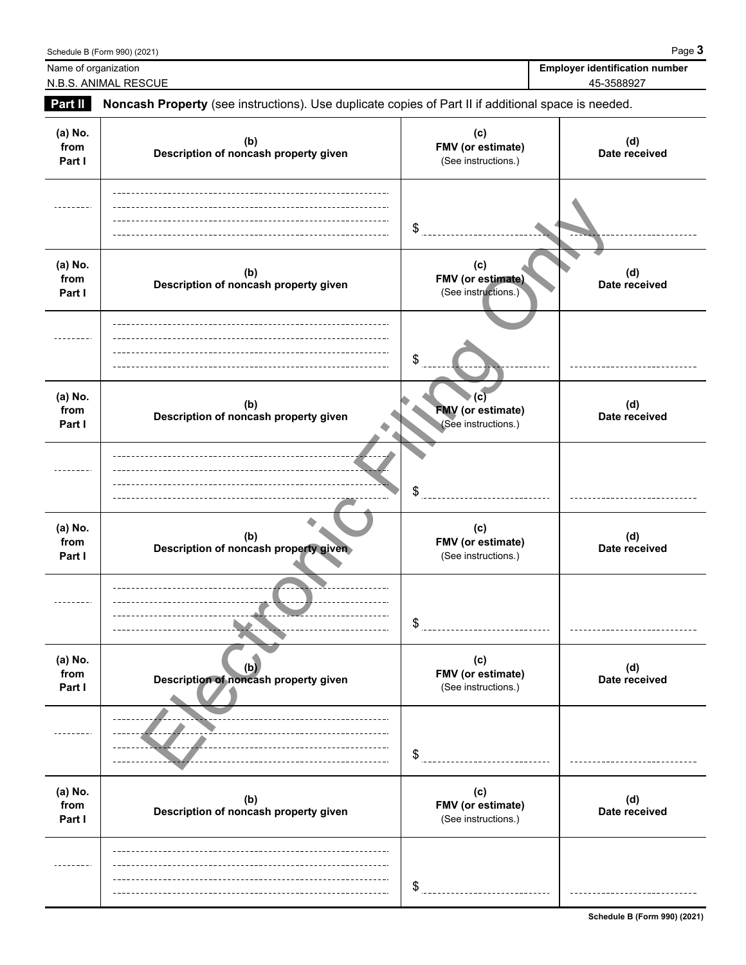|                           | Schedule B (Form 990) (2021)                                                                        |                                                        | Page 3                                              |
|---------------------------|-----------------------------------------------------------------------------------------------------|--------------------------------------------------------|-----------------------------------------------------|
| Name of organization      | N.B.S. ANIMAL RESCUE                                                                                |                                                        | <b>Employer identification number</b><br>45-3588927 |
| Part II                   | Noncash Property (see instructions). Use duplicate copies of Part II if additional space is needed. |                                                        |                                                     |
| (a) No.<br>from<br>Part I | (b)<br>Description of noncash property given                                                        | (c)<br>FMV (or estimate)<br>(See instructions.)        | (d)<br>Date received                                |
|                           |                                                                                                     | \$                                                     |                                                     |
| (a) No.<br>from<br>Part I | (b)<br>Description of noncash property given                                                        | (c)<br>FMV (or estimate)<br>(See instructions.)        | (d)<br>Date received                                |
|                           |                                                                                                     | \$                                                     |                                                     |
| (a) No.<br>from<br>Part I | (b)<br>Description of noncash property given                                                        | (C)<br><b>FMV</b> (or estimate)<br>(See instructions.) | (d)<br>Date received                                |
|                           |                                                                                                     | \$                                                     |                                                     |
| (a) No.<br>from<br>Part I | (b)<br>Description of noncash property given                                                        | (c)<br>FMV (or estimate)<br>(See instructions.)        | (d)<br>Date received                                |
|                           |                                                                                                     | \$                                                     |                                                     |
| (a) No.<br>from<br>Part I | (b)<br>Description of noncash property given                                                        | (c)<br>FMV (or estimate)<br>(See instructions.)        | (d)<br>Date received                                |
|                           |                                                                                                     | \$                                                     |                                                     |
| (a) No.<br>from<br>Part I | (b)<br>Description of noncash property given                                                        | (c)<br>FMV (or estimate)<br>(See instructions.)        | (d)<br>Date received                                |
|                           |                                                                                                     | \$                                                     |                                                     |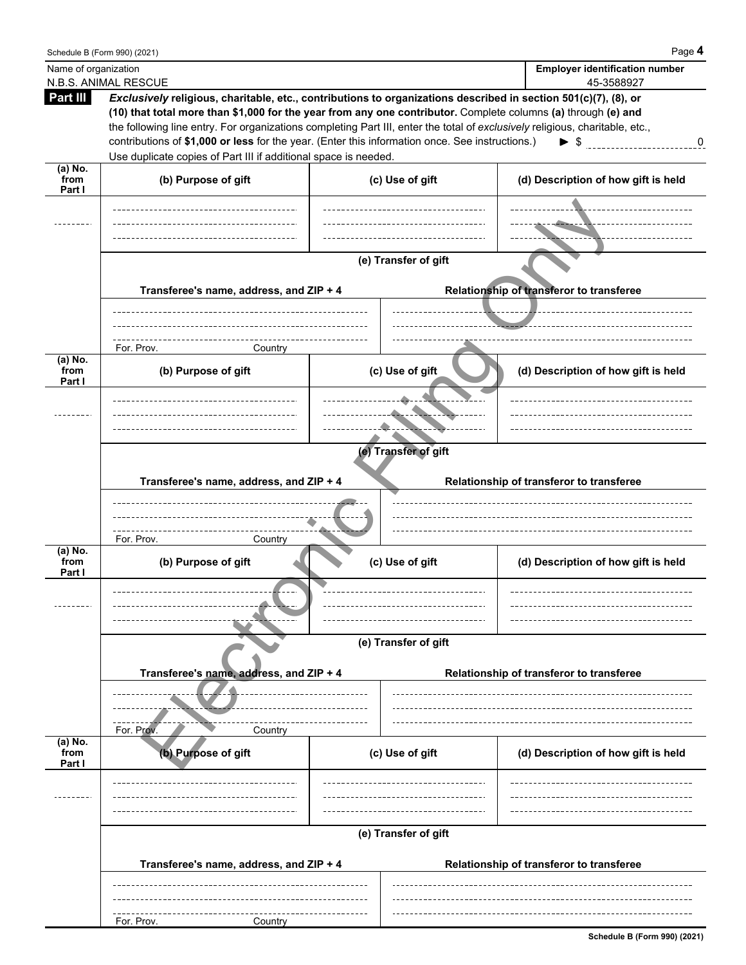|                      | Schedule B (Form 990) (2021)                                                                                                                                                                                                                                                                                                                                                                                                                                                                |                      | Page 4                                          |
|----------------------|---------------------------------------------------------------------------------------------------------------------------------------------------------------------------------------------------------------------------------------------------------------------------------------------------------------------------------------------------------------------------------------------------------------------------------------------------------------------------------------------|----------------------|-------------------------------------------------|
| Name of organization |                                                                                                                                                                                                                                                                                                                                                                                                                                                                                             |                      | <b>Employer identification number</b>           |
| Part III             | N.B.S. ANIMAL RESCUE<br>Exclusively religious, charitable, etc., contributions to organizations described in section 501(c)(7), (8), or<br>(10) that total more than \$1,000 for the year from any one contributor. Complete columns (a) through (e) and<br>the following line entry. For organizations completing Part III, enter the total of exclusively religious, charitable, etc.,<br>contributions of \$1,000 or less for the year. (Enter this information once. See instructions.) |                      | 45-3588927<br>$\blacktriangleright$ \$<br>0     |
| (a) No.              | Use duplicate copies of Part III if additional space is needed.                                                                                                                                                                                                                                                                                                                                                                                                                             |                      |                                                 |
| from<br>Part I       | (b) Purpose of gift                                                                                                                                                                                                                                                                                                                                                                                                                                                                         | (c) Use of gift      | (d) Description of how gift is held             |
|                      |                                                                                                                                                                                                                                                                                                                                                                                                                                                                                             |                      | -- <del>--</del> ------<br>____ <del>__</del> _ |
|                      |                                                                                                                                                                                                                                                                                                                                                                                                                                                                                             | (e) Transfer of gift |                                                 |
|                      | Transferee's name, address, and ZIP + 4                                                                                                                                                                                                                                                                                                                                                                                                                                                     |                      | Relationship of transferor to transferee        |
|                      | For. Prov.<br>Country                                                                                                                                                                                                                                                                                                                                                                                                                                                                       |                      |                                                 |
| (a) No.              |                                                                                                                                                                                                                                                                                                                                                                                                                                                                                             |                      |                                                 |
| from<br>Part I       | (b) Purpose of gift                                                                                                                                                                                                                                                                                                                                                                                                                                                                         | (c) Use of gift      | (d) Description of how gift is held             |
|                      |                                                                                                                                                                                                                                                                                                                                                                                                                                                                                             |                      |                                                 |
|                      |                                                                                                                                                                                                                                                                                                                                                                                                                                                                                             |                      |                                                 |
|                      |                                                                                                                                                                                                                                                                                                                                                                                                                                                                                             |                      |                                                 |
|                      |                                                                                                                                                                                                                                                                                                                                                                                                                                                                                             | (e) Transfer of gift |                                                 |
|                      |                                                                                                                                                                                                                                                                                                                                                                                                                                                                                             |                      |                                                 |
|                      | Transferee's name, address, and ZIP + 4                                                                                                                                                                                                                                                                                                                                                                                                                                                     |                      | Relationship of transferor to transferee        |
|                      |                                                                                                                                                                                                                                                                                                                                                                                                                                                                                             |                      |                                                 |
|                      |                                                                                                                                                                                                                                                                                                                                                                                                                                                                                             |                      |                                                 |
|                      |                                                                                                                                                                                                                                                                                                                                                                                                                                                                                             |                      |                                                 |
| $(a)$ No.            | For. Prov.<br>Country                                                                                                                                                                                                                                                                                                                                                                                                                                                                       |                      |                                                 |
| from                 | (b) Purpose of gift                                                                                                                                                                                                                                                                                                                                                                                                                                                                         | (c) Use of gift      | (d) Description of how gift is held             |
| Part I               |                                                                                                                                                                                                                                                                                                                                                                                                                                                                                             |                      |                                                 |
|                      |                                                                                                                                                                                                                                                                                                                                                                                                                                                                                             |                      |                                                 |
|                      |                                                                                                                                                                                                                                                                                                                                                                                                                                                                                             |                      |                                                 |
|                      |                                                                                                                                                                                                                                                                                                                                                                                                                                                                                             |                      |                                                 |
|                      |                                                                                                                                                                                                                                                                                                                                                                                                                                                                                             | (e) Transfer of gift |                                                 |
|                      | Transferee's name, address, and ZIP + 4                                                                                                                                                                                                                                                                                                                                                                                                                                                     |                      | Relationship of transferor to transferee        |
|                      |                                                                                                                                                                                                                                                                                                                                                                                                                                                                                             |                      |                                                 |
|                      |                                                                                                                                                                                                                                                                                                                                                                                                                                                                                             |                      |                                                 |
|                      | For. Prov.<br>Country                                                                                                                                                                                                                                                                                                                                                                                                                                                                       |                      |                                                 |
| (a) No.              |                                                                                                                                                                                                                                                                                                                                                                                                                                                                                             |                      |                                                 |
| from<br>Part I       | (b) Purpose of gift                                                                                                                                                                                                                                                                                                                                                                                                                                                                         | (c) Use of gift      | (d) Description of how gift is held             |
|                      |                                                                                                                                                                                                                                                                                                                                                                                                                                                                                             |                      |                                                 |
|                      |                                                                                                                                                                                                                                                                                                                                                                                                                                                                                             |                      |                                                 |
|                      |                                                                                                                                                                                                                                                                                                                                                                                                                                                                                             |                      |                                                 |
|                      |                                                                                                                                                                                                                                                                                                                                                                                                                                                                                             | (e) Transfer of gift |                                                 |
|                      |                                                                                                                                                                                                                                                                                                                                                                                                                                                                                             |                      |                                                 |
|                      | Transferee's name, address, and ZIP + 4                                                                                                                                                                                                                                                                                                                                                                                                                                                     |                      | Relationship of transferor to transferee        |
|                      |                                                                                                                                                                                                                                                                                                                                                                                                                                                                                             |                      |                                                 |
|                      |                                                                                                                                                                                                                                                                                                                                                                                                                                                                                             |                      |                                                 |
|                      | For. Prov.<br>Country                                                                                                                                                                                                                                                                                                                                                                                                                                                                       |                      |                                                 |
|                      |                                                                                                                                                                                                                                                                                                                                                                                                                                                                                             |                      | Schedule B (Form 990) (2021)                    |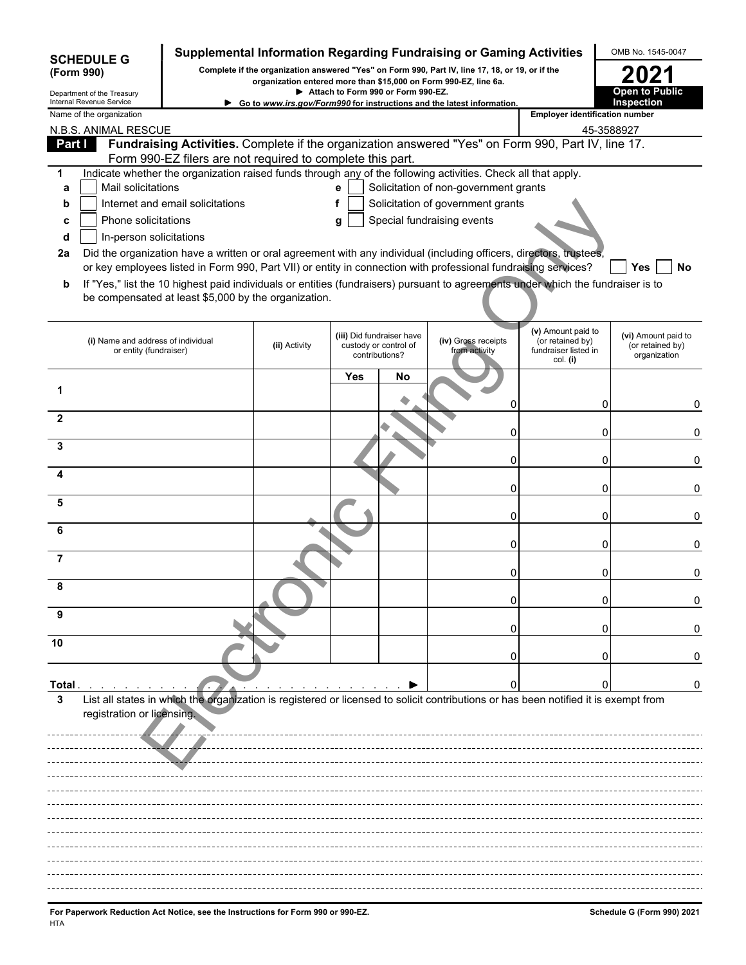| <b>SCHEDULE G</b>                                      |                                                              |                                                            |               |                                    |                                                                      | Supplemental Information Regarding Fundraising or Gaming Activities                                                                                                 |                                                                            | OMB No. 1545-0047                                       |
|--------------------------------------------------------|--------------------------------------------------------------|------------------------------------------------------------|---------------|------------------------------------|----------------------------------------------------------------------|---------------------------------------------------------------------------------------------------------------------------------------------------------------------|----------------------------------------------------------------------------|---------------------------------------------------------|
| (Form 990)                                             |                                                              |                                                            |               |                                    |                                                                      | Complete if the organization answered "Yes" on Form 990, Part IV, line 17, 18, or 19, or if the<br>organization entered more than \$15,000 on Form 990-EZ, line 6a. |                                                                            | 2021                                                    |
| Department of the Treasury<br>Internal Revenue Service |                                                              |                                                            |               | Attach to Form 990 or Form 990-EZ. |                                                                      | Go to www.irs.gov/Form990 for instructions and the latest information.                                                                                              |                                                                            | Open to Public<br>Inspection                            |
| Name of the organization                               |                                                              |                                                            |               |                                    |                                                                      |                                                                                                                                                                     | <b>Employer identification number</b>                                      |                                                         |
| Part I                                                 | N.B.S. ANIMAL RESCUE                                         |                                                            |               |                                    |                                                                      | Fundraising Activities. Complete if the organization answered "Yes" on Form 990, Part IV, line 17.                                                                  | 45-3588927                                                                 |                                                         |
|                                                        |                                                              | Form 990-EZ filers are not required to complete this part. |               |                                    |                                                                      |                                                                                                                                                                     |                                                                            |                                                         |
| 1                                                      |                                                              |                                                            |               |                                    |                                                                      | Indicate whether the organization raised funds through any of the following activities. Check all that apply.                                                       |                                                                            |                                                         |
| a                                                      | Mail solicitations                                           |                                                            |               | $\mathbf{e}$                       |                                                                      | Solicitation of non-government grants                                                                                                                               |                                                                            |                                                         |
| b                                                      | Phone solicitations                                          | Internet and email solicitations                           |               | f                                  |                                                                      | Solicitation of government grants<br>Special fundraising events                                                                                                     |                                                                            |                                                         |
| C<br>d                                                 | In-person solicitations                                      |                                                            |               | g                                  |                                                                      |                                                                                                                                                                     |                                                                            |                                                         |
| 2a                                                     |                                                              |                                                            |               |                                    |                                                                      | Did the organization have a written or oral agreement with any individual (including officers, directors, trustees,                                                 |                                                                            |                                                         |
|                                                        |                                                              |                                                            |               |                                    |                                                                      | or key employees listed in Form 990, Part VII) or entity in connection with professional fundraising services?                                                      |                                                                            | Yes<br>No                                               |
| b                                                      |                                                              | be compensated at least \$5,000 by the organization.       |               |                                    |                                                                      | If "Yes," list the 10 highest paid individuals or entities (fundraisers) pursuant to agreements under which the fundraiser is to                                    |                                                                            |                                                         |
|                                                        | (i) Name and address of individual<br>or entity (fundraiser) |                                                            | (ii) Activity |                                    | (iii) Did fundraiser have<br>custody or control of<br>contributions? | (iv) Gross receipts<br>from activity                                                                                                                                | (v) Amount paid to<br>(or retained by)<br>fundraiser listed in<br>col. (i) | (vi) Amount paid to<br>(or retained by)<br>organization |
|                                                        |                                                              |                                                            |               | Yes                                | No                                                                   |                                                                                                                                                                     |                                                                            |                                                         |
|                                                        |                                                              |                                                            |               |                                    |                                                                      |                                                                                                                                                                     |                                                                            |                                                         |
| $\mathbf{2}$                                           |                                                              |                                                            |               |                                    |                                                                      | 0                                                                                                                                                                   | 0                                                                          | 0                                                       |
| 3                                                      |                                                              |                                                            |               |                                    |                                                                      | 0                                                                                                                                                                   | 0                                                                          | 0                                                       |
|                                                        |                                                              |                                                            |               |                                    |                                                                      | 0                                                                                                                                                                   | 0                                                                          | 0                                                       |
| 5                                                      |                                                              |                                                            |               |                                    |                                                                      | 0                                                                                                                                                                   | 0                                                                          | 0                                                       |
| 6                                                      |                                                              |                                                            |               |                                    |                                                                      | 0                                                                                                                                                                   | 0                                                                          | 0                                                       |
|                                                        |                                                              |                                                            |               |                                    |                                                                      | 0                                                                                                                                                                   | O                                                                          | 0                                                       |
| 7                                                      |                                                              |                                                            |               |                                    |                                                                      | 0                                                                                                                                                                   |                                                                            | 0                                                       |
| 8                                                      |                                                              |                                                            |               |                                    |                                                                      |                                                                                                                                                                     |                                                                            |                                                         |
| 9                                                      |                                                              |                                                            |               |                                    |                                                                      | $\Box$                                                                                                                                                              | 0                                                                          | 0                                                       |
| 10                                                     |                                                              |                                                            |               |                                    |                                                                      |                                                                                                                                                                     |                                                                            |                                                         |
|                                                        |                                                              |                                                            |               |                                    |                                                                      | 0                                                                                                                                                                   |                                                                            |                                                         |
|                                                        |                                                              |                                                            |               |                                    |                                                                      |                                                                                                                                                                     |                                                                            |                                                         |
| Total<br>3                                             |                                                              |                                                            |               |                                    |                                                                      | List all states in which the organization is registered or licensed to solicit contributions or has been notified it is exempt from                                 |                                                                            | 0                                                       |
|                                                        | registration or licensing.                                   |                                                            |               |                                    |                                                                      |                                                                                                                                                                     |                                                                            |                                                         |
|                                                        |                                                              |                                                            |               |                                    |                                                                      |                                                                                                                                                                     |                                                                            |                                                         |
|                                                        |                                                              |                                                            |               |                                    |                                                                      |                                                                                                                                                                     |                                                                            |                                                         |
|                                                        |                                                              |                                                            |               |                                    |                                                                      |                                                                                                                                                                     |                                                                            |                                                         |
|                                                        |                                                              |                                                            |               |                                    |                                                                      |                                                                                                                                                                     |                                                                            |                                                         |
|                                                        |                                                              |                                                            |               |                                    |                                                                      |                                                                                                                                                                     |                                                                            |                                                         |
|                                                        |                                                              |                                                            |               |                                    |                                                                      |                                                                                                                                                                     |                                                                            |                                                         |
|                                                        |                                                              |                                                            |               |                                    |                                                                      |                                                                                                                                                                     |                                                                            |                                                         |
|                                                        |                                                              |                                                            |               |                                    |                                                                      |                                                                                                                                                                     |                                                                            |                                                         |
|                                                        |                                                              |                                                            |               |                                    |                                                                      |                                                                                                                                                                     |                                                                            |                                                         |
|                                                        |                                                              |                                                            |               |                                    |                                                                      |                                                                                                                                                                     |                                                                            |                                                         |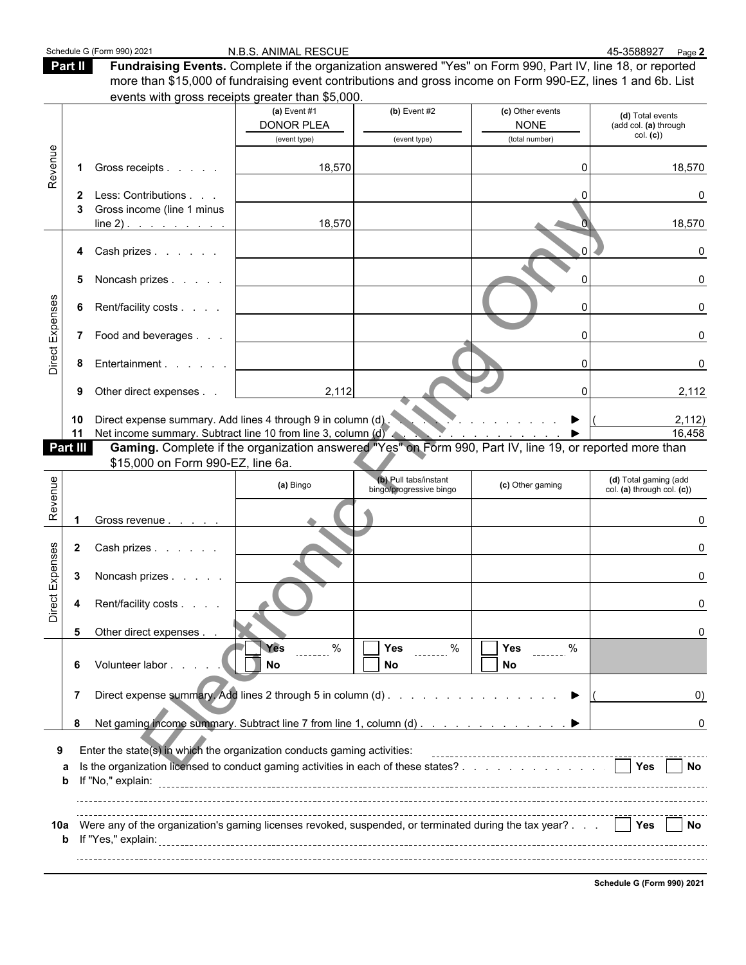Part II **Fundraising Events.** Complete if the organization answered "Yes" on Form 990, Part IV, line 18, or reported more than \$15,000 of fundraising event contributions and gross income on Form 990-EZ, lines 1 and 6b. List events with gross receipts greater than \$5,000.

| (d) Total events<br><b>DONOR PLEA</b><br><b>NONE</b><br>(add col. (a) through<br>col. ( <b>c</b> ))<br>(total number)<br>(event type)<br>(event type)<br>Revenue<br>Gross receipts<br>18,570<br>18,570<br>1.<br>Less: Contributions<br>O<br>2<br>Gross income (line 1 minus<br>18,570<br>18,570<br>Cash prizes<br>U<br>4<br>Noncash prizes<br>0<br>5.<br>Direct Expenses<br>Rent/facility costs<br>ΩI<br>6<br>7 Food and beverages<br>Entertainment<br>8<br>2,112<br>Other direct expenses<br>2,112<br>9<br>Direct expense summary. Add lines 4 through 9 in column (d).<br>10<br>2,112)<br>.<br>Net income summary. Subtract line 10 from line 3, column (d)<br>16,458<br>11<br>$\mathbf{v}$ and $\mathbf{v}$ and $\mathbf{v}$ and $\mathbf{v}$<br>Gaming. Complete if the organization answered "Yes" on Form 990, Part IV, line 19, or reported more than<br>Part III<br>\$15,000 on Form 990-EZ, line 6a.<br>Revenue<br>(b) Pull tabs/instant<br>(d) Total gaming (add<br>(a) Bingo<br>(c) Other gaming<br>bingo/progressive bingo<br>col. (a) through col. (c))<br>Gross revenue<br>Direct Expenses<br>Cash prizes<br>$\mathbf{2}$<br>3<br>Noncash prizes<br>Rent/facility costs<br>4<br>5<br>Other direct expenses<br><b>ATT</b> Yes<br>$\frac{9}{6}$<br>$\blacksquare$ Yes $\blacksquare$ %<br>$\sum$ Yes ______ %<br><b>No</b><br>Volunteer labor.<br>No<br>No<br>6<br>Direct expense summary. Add lines 2 through 5 in column (d)<br>$\overline{7}$<br>▶<br>0)<br>Net gaming income summary. Subtract line 7 from line 1, column (d)<br>8<br>0<br>Enter the state(s) in which the organization conducts gaming activities:<br>9<br><b>No</b><br>а<br>b<br>10a Were any of the organization's gaming licenses revoked, suspended, or terminated during the tax year?     Yes     No<br>$\mathbf b$ |  |                |                |                  |  |
|------------------------------------------------------------------------------------------------------------------------------------------------------------------------------------------------------------------------------------------------------------------------------------------------------------------------------------------------------------------------------------------------------------------------------------------------------------------------------------------------------------------------------------------------------------------------------------------------------------------------------------------------------------------------------------------------------------------------------------------------------------------------------------------------------------------------------------------------------------------------------------------------------------------------------------------------------------------------------------------------------------------------------------------------------------------------------------------------------------------------------------------------------------------------------------------------------------------------------------------------------------------------------------------------------------------------------------------------------------------------------------------------------------------------------------------------------------------------------------------------------------------------------------------------------------------------------------------------------------------------------------------------------------------------------------------------------------------------------------------------------------------------------------------------------------|--|----------------|----------------|------------------|--|
|                                                                                                                                                                                                                                                                                                                                                                                                                                                                                                                                                                                                                                                                                                                                                                                                                                                                                                                                                                                                                                                                                                                                                                                                                                                                                                                                                                                                                                                                                                                                                                                                                                                                                                                                                                                                            |  | (a) Event $#1$ | $(b)$ Event #2 | (c) Other events |  |
|                                                                                                                                                                                                                                                                                                                                                                                                                                                                                                                                                                                                                                                                                                                                                                                                                                                                                                                                                                                                                                                                                                                                                                                                                                                                                                                                                                                                                                                                                                                                                                                                                                                                                                                                                                                                            |  |                |                |                  |  |
|                                                                                                                                                                                                                                                                                                                                                                                                                                                                                                                                                                                                                                                                                                                                                                                                                                                                                                                                                                                                                                                                                                                                                                                                                                                                                                                                                                                                                                                                                                                                                                                                                                                                                                                                                                                                            |  |                |                |                  |  |
|                                                                                                                                                                                                                                                                                                                                                                                                                                                                                                                                                                                                                                                                                                                                                                                                                                                                                                                                                                                                                                                                                                                                                                                                                                                                                                                                                                                                                                                                                                                                                                                                                                                                                                                                                                                                            |  |                |                |                  |  |
|                                                                                                                                                                                                                                                                                                                                                                                                                                                                                                                                                                                                                                                                                                                                                                                                                                                                                                                                                                                                                                                                                                                                                                                                                                                                                                                                                                                                                                                                                                                                                                                                                                                                                                                                                                                                            |  |                |                |                  |  |
|                                                                                                                                                                                                                                                                                                                                                                                                                                                                                                                                                                                                                                                                                                                                                                                                                                                                                                                                                                                                                                                                                                                                                                                                                                                                                                                                                                                                                                                                                                                                                                                                                                                                                                                                                                                                            |  |                |                |                  |  |
|                                                                                                                                                                                                                                                                                                                                                                                                                                                                                                                                                                                                                                                                                                                                                                                                                                                                                                                                                                                                                                                                                                                                                                                                                                                                                                                                                                                                                                                                                                                                                                                                                                                                                                                                                                                                            |  |                |                |                  |  |
|                                                                                                                                                                                                                                                                                                                                                                                                                                                                                                                                                                                                                                                                                                                                                                                                                                                                                                                                                                                                                                                                                                                                                                                                                                                                                                                                                                                                                                                                                                                                                                                                                                                                                                                                                                                                            |  |                |                |                  |  |
|                                                                                                                                                                                                                                                                                                                                                                                                                                                                                                                                                                                                                                                                                                                                                                                                                                                                                                                                                                                                                                                                                                                                                                                                                                                                                                                                                                                                                                                                                                                                                                                                                                                                                                                                                                                                            |  |                |                |                  |  |
|                                                                                                                                                                                                                                                                                                                                                                                                                                                                                                                                                                                                                                                                                                                                                                                                                                                                                                                                                                                                                                                                                                                                                                                                                                                                                                                                                                                                                                                                                                                                                                                                                                                                                                                                                                                                            |  |                |                |                  |  |
|                                                                                                                                                                                                                                                                                                                                                                                                                                                                                                                                                                                                                                                                                                                                                                                                                                                                                                                                                                                                                                                                                                                                                                                                                                                                                                                                                                                                                                                                                                                                                                                                                                                                                                                                                                                                            |  |                |                |                  |  |
|                                                                                                                                                                                                                                                                                                                                                                                                                                                                                                                                                                                                                                                                                                                                                                                                                                                                                                                                                                                                                                                                                                                                                                                                                                                                                                                                                                                                                                                                                                                                                                                                                                                                                                                                                                                                            |  |                |                |                  |  |
|                                                                                                                                                                                                                                                                                                                                                                                                                                                                                                                                                                                                                                                                                                                                                                                                                                                                                                                                                                                                                                                                                                                                                                                                                                                                                                                                                                                                                                                                                                                                                                                                                                                                                                                                                                                                            |  |                |                |                  |  |
|                                                                                                                                                                                                                                                                                                                                                                                                                                                                                                                                                                                                                                                                                                                                                                                                                                                                                                                                                                                                                                                                                                                                                                                                                                                                                                                                                                                                                                                                                                                                                                                                                                                                                                                                                                                                            |  |                |                |                  |  |
|                                                                                                                                                                                                                                                                                                                                                                                                                                                                                                                                                                                                                                                                                                                                                                                                                                                                                                                                                                                                                                                                                                                                                                                                                                                                                                                                                                                                                                                                                                                                                                                                                                                                                                                                                                                                            |  |                |                |                  |  |
|                                                                                                                                                                                                                                                                                                                                                                                                                                                                                                                                                                                                                                                                                                                                                                                                                                                                                                                                                                                                                                                                                                                                                                                                                                                                                                                                                                                                                                                                                                                                                                                                                                                                                                                                                                                                            |  |                |                |                  |  |
|                                                                                                                                                                                                                                                                                                                                                                                                                                                                                                                                                                                                                                                                                                                                                                                                                                                                                                                                                                                                                                                                                                                                                                                                                                                                                                                                                                                                                                                                                                                                                                                                                                                                                                                                                                                                            |  |                |                |                  |  |
|                                                                                                                                                                                                                                                                                                                                                                                                                                                                                                                                                                                                                                                                                                                                                                                                                                                                                                                                                                                                                                                                                                                                                                                                                                                                                                                                                                                                                                                                                                                                                                                                                                                                                                                                                                                                            |  |                |                |                  |  |
|                                                                                                                                                                                                                                                                                                                                                                                                                                                                                                                                                                                                                                                                                                                                                                                                                                                                                                                                                                                                                                                                                                                                                                                                                                                                                                                                                                                                                                                                                                                                                                                                                                                                                                                                                                                                            |  |                |                |                  |  |
|                                                                                                                                                                                                                                                                                                                                                                                                                                                                                                                                                                                                                                                                                                                                                                                                                                                                                                                                                                                                                                                                                                                                                                                                                                                                                                                                                                                                                                                                                                                                                                                                                                                                                                                                                                                                            |  |                |                |                  |  |
|                                                                                                                                                                                                                                                                                                                                                                                                                                                                                                                                                                                                                                                                                                                                                                                                                                                                                                                                                                                                                                                                                                                                                                                                                                                                                                                                                                                                                                                                                                                                                                                                                                                                                                                                                                                                            |  |                |                |                  |  |
|                                                                                                                                                                                                                                                                                                                                                                                                                                                                                                                                                                                                                                                                                                                                                                                                                                                                                                                                                                                                                                                                                                                                                                                                                                                                                                                                                                                                                                                                                                                                                                                                                                                                                                                                                                                                            |  |                |                |                  |  |
|                                                                                                                                                                                                                                                                                                                                                                                                                                                                                                                                                                                                                                                                                                                                                                                                                                                                                                                                                                                                                                                                                                                                                                                                                                                                                                                                                                                                                                                                                                                                                                                                                                                                                                                                                                                                            |  |                |                |                  |  |
|                                                                                                                                                                                                                                                                                                                                                                                                                                                                                                                                                                                                                                                                                                                                                                                                                                                                                                                                                                                                                                                                                                                                                                                                                                                                                                                                                                                                                                                                                                                                                                                                                                                                                                                                                                                                            |  |                |                |                  |  |
|                                                                                                                                                                                                                                                                                                                                                                                                                                                                                                                                                                                                                                                                                                                                                                                                                                                                                                                                                                                                                                                                                                                                                                                                                                                                                                                                                                                                                                                                                                                                                                                                                                                                                                                                                                                                            |  |                |                |                  |  |
|                                                                                                                                                                                                                                                                                                                                                                                                                                                                                                                                                                                                                                                                                                                                                                                                                                                                                                                                                                                                                                                                                                                                                                                                                                                                                                                                                                                                                                                                                                                                                                                                                                                                                                                                                                                                            |  |                |                |                  |  |
|                                                                                                                                                                                                                                                                                                                                                                                                                                                                                                                                                                                                                                                                                                                                                                                                                                                                                                                                                                                                                                                                                                                                                                                                                                                                                                                                                                                                                                                                                                                                                                                                                                                                                                                                                                                                            |  |                |                |                  |  |
|                                                                                                                                                                                                                                                                                                                                                                                                                                                                                                                                                                                                                                                                                                                                                                                                                                                                                                                                                                                                                                                                                                                                                                                                                                                                                                                                                                                                                                                                                                                                                                                                                                                                                                                                                                                                            |  |                |                |                  |  |
|                                                                                                                                                                                                                                                                                                                                                                                                                                                                                                                                                                                                                                                                                                                                                                                                                                                                                                                                                                                                                                                                                                                                                                                                                                                                                                                                                                                                                                                                                                                                                                                                                                                                                                                                                                                                            |  |                |                |                  |  |
|                                                                                                                                                                                                                                                                                                                                                                                                                                                                                                                                                                                                                                                                                                                                                                                                                                                                                                                                                                                                                                                                                                                                                                                                                                                                                                                                                                                                                                                                                                                                                                                                                                                                                                                                                                                                            |  |                |                |                  |  |
|                                                                                                                                                                                                                                                                                                                                                                                                                                                                                                                                                                                                                                                                                                                                                                                                                                                                                                                                                                                                                                                                                                                                                                                                                                                                                                                                                                                                                                                                                                                                                                                                                                                                                                                                                                                                            |  |                |                |                  |  |
|                                                                                                                                                                                                                                                                                                                                                                                                                                                                                                                                                                                                                                                                                                                                                                                                                                                                                                                                                                                                                                                                                                                                                                                                                                                                                                                                                                                                                                                                                                                                                                                                                                                                                                                                                                                                            |  |                |                |                  |  |
|                                                                                                                                                                                                                                                                                                                                                                                                                                                                                                                                                                                                                                                                                                                                                                                                                                                                                                                                                                                                                                                                                                                                                                                                                                                                                                                                                                                                                                                                                                                                                                                                                                                                                                                                                                                                            |  |                |                |                  |  |
|                                                                                                                                                                                                                                                                                                                                                                                                                                                                                                                                                                                                                                                                                                                                                                                                                                                                                                                                                                                                                                                                                                                                                                                                                                                                                                                                                                                                                                                                                                                                                                                                                                                                                                                                                                                                            |  |                |                |                  |  |
|                                                                                                                                                                                                                                                                                                                                                                                                                                                                                                                                                                                                                                                                                                                                                                                                                                                                                                                                                                                                                                                                                                                                                                                                                                                                                                                                                                                                                                                                                                                                                                                                                                                                                                                                                                                                            |  |                |                |                  |  |
|                                                                                                                                                                                                                                                                                                                                                                                                                                                                                                                                                                                                                                                                                                                                                                                                                                                                                                                                                                                                                                                                                                                                                                                                                                                                                                                                                                                                                                                                                                                                                                                                                                                                                                                                                                                                            |  |                |                |                  |  |
|                                                                                                                                                                                                                                                                                                                                                                                                                                                                                                                                                                                                                                                                                                                                                                                                                                                                                                                                                                                                                                                                                                                                                                                                                                                                                                                                                                                                                                                                                                                                                                                                                                                                                                                                                                                                            |  |                |                |                  |  |
|                                                                                                                                                                                                                                                                                                                                                                                                                                                                                                                                                                                                                                                                                                                                                                                                                                                                                                                                                                                                                                                                                                                                                                                                                                                                                                                                                                                                                                                                                                                                                                                                                                                                                                                                                                                                            |  |                |                |                  |  |
|                                                                                                                                                                                                                                                                                                                                                                                                                                                                                                                                                                                                                                                                                                                                                                                                                                                                                                                                                                                                                                                                                                                                                                                                                                                                                                                                                                                                                                                                                                                                                                                                                                                                                                                                                                                                            |  |                |                |                  |  |
|                                                                                                                                                                                                                                                                                                                                                                                                                                                                                                                                                                                                                                                                                                                                                                                                                                                                                                                                                                                                                                                                                                                                                                                                                                                                                                                                                                                                                                                                                                                                                                                                                                                                                                                                                                                                            |  |                |                |                  |  |
|                                                                                                                                                                                                                                                                                                                                                                                                                                                                                                                                                                                                                                                                                                                                                                                                                                                                                                                                                                                                                                                                                                                                                                                                                                                                                                                                                                                                                                                                                                                                                                                                                                                                                                                                                                                                            |  |                |                |                  |  |
|                                                                                                                                                                                                                                                                                                                                                                                                                                                                                                                                                                                                                                                                                                                                                                                                                                                                                                                                                                                                                                                                                                                                                                                                                                                                                                                                                                                                                                                                                                                                                                                                                                                                                                                                                                                                            |  |                |                |                  |  |
|                                                                                                                                                                                                                                                                                                                                                                                                                                                                                                                                                                                                                                                                                                                                                                                                                                                                                                                                                                                                                                                                                                                                                                                                                                                                                                                                                                                                                                                                                                                                                                                                                                                                                                                                                                                                            |  |                |                |                  |  |
|                                                                                                                                                                                                                                                                                                                                                                                                                                                                                                                                                                                                                                                                                                                                                                                                                                                                                                                                                                                                                                                                                                                                                                                                                                                                                                                                                                                                                                                                                                                                                                                                                                                                                                                                                                                                            |  |                |                |                  |  |
|                                                                                                                                                                                                                                                                                                                                                                                                                                                                                                                                                                                                                                                                                                                                                                                                                                                                                                                                                                                                                                                                                                                                                                                                                                                                                                                                                                                                                                                                                                                                                                                                                                                                                                                                                                                                            |  |                |                |                  |  |

**Schedule G (Form 990) 2021**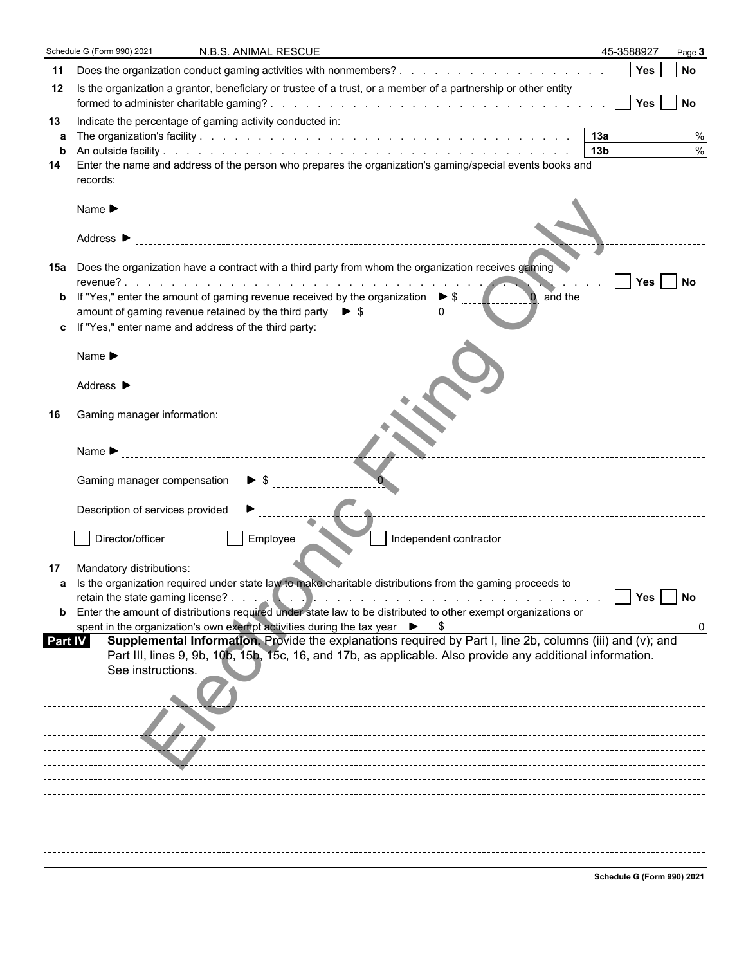|                           | Schedule G (Form 990) 2021<br>N.B.S. ANIMAL RESCUE                                                                                                                                                                                                                                                                                                                                                                                                                                                                                                                                             |                         | 45-3588927 | Page 3             |  |
|---------------------------|------------------------------------------------------------------------------------------------------------------------------------------------------------------------------------------------------------------------------------------------------------------------------------------------------------------------------------------------------------------------------------------------------------------------------------------------------------------------------------------------------------------------------------------------------------------------------------------------|-------------------------|------------|--------------------|--|
| 11                        |                                                                                                                                                                                                                                                                                                                                                                                                                                                                                                                                                                                                |                         |            | l No               |  |
| 12                        | Is the organization a grantor, beneficiary or trustee of a trust, or a member of a partnership or other entity                                                                                                                                                                                                                                                                                                                                                                                                                                                                                 |                         |            |                    |  |
| 13<br>a<br>b<br>14        | Indicate the percentage of gaming activity conducted in:<br>Enter the name and address of the person who prepares the organization's gaming/special events books and<br>records:                                                                                                                                                                                                                                                                                                                                                                                                               | 13a <br>13 <sub>b</sub> |            | %<br>$\frac{0}{0}$ |  |
|                           | Name $\blacktriangleright$                                                                                                                                                                                                                                                                                                                                                                                                                                                                                                                                                                     |                         |            |                    |  |
|                           |                                                                                                                                                                                                                                                                                                                                                                                                                                                                                                                                                                                                |                         |            |                    |  |
| b                         | 15a Does the organization have a contract with a third party from whom the organization receives gaming<br>If "Yes," enter the amount of gaming revenue received by the organization $\triangleright$ \$<br>and the<br>amount of gaming revenue retained by the third party $\bullet$ \$ $\frac{1}{1}$ = $\frac{1}{1}$<br>c If "Yes," enter name and address of the third party:                                                                                                                                                                                                               |                         | Yes   No   |                    |  |
|                           | Name $\blacktriangleright$                                                                                                                                                                                                                                                                                                                                                                                                                                                                                                                                                                     |                         |            |                    |  |
| 16                        | Gaming manager information:                                                                                                                                                                                                                                                                                                                                                                                                                                                                                                                                                                    |                         |            |                    |  |
|                           | Name $\blacktriangleright$<br>$\triangleright$ s                                                                                                                                                                                                                                                                                                                                                                                                                                                                                                                                               |                         |            |                    |  |
|                           | Gaming manager compensation<br>Description of services provided                                                                                                                                                                                                                                                                                                                                                                                                                                                                                                                                |                         |            |                    |  |
|                           | Employee<br>Director/officer<br>Independent contractor                                                                                                                                                                                                                                                                                                                                                                                                                                                                                                                                         |                         |            |                    |  |
| 17<br>a<br><b>Part IV</b> | Mandatory distributions:<br>Is the organization required under state law to make charitable distributions from the gaming proceeds to<br><b>b</b> Enter the amount of distributions required under state law to be distributed to other exempt organizations or<br>spent in the organization's own exempt activities during the tax year ▶ \$<br>Supplemental Information. Provide the explanations required by Part I, line 2b, columns (iii) and (v); and<br>Part III, lines 9, 9b, 10b, 15b, 15c, 16, and 17b, as applicable. Also provide any additional information.<br>See instructions. |                         | Yes        | $ $ No             |  |
|                           |                                                                                                                                                                                                                                                                                                                                                                                                                                                                                                                                                                                                |                         |            |                    |  |
|                           |                                                                                                                                                                                                                                                                                                                                                                                                                                                                                                                                                                                                |                         |            |                    |  |

**Schedule G (Form 990) 2021**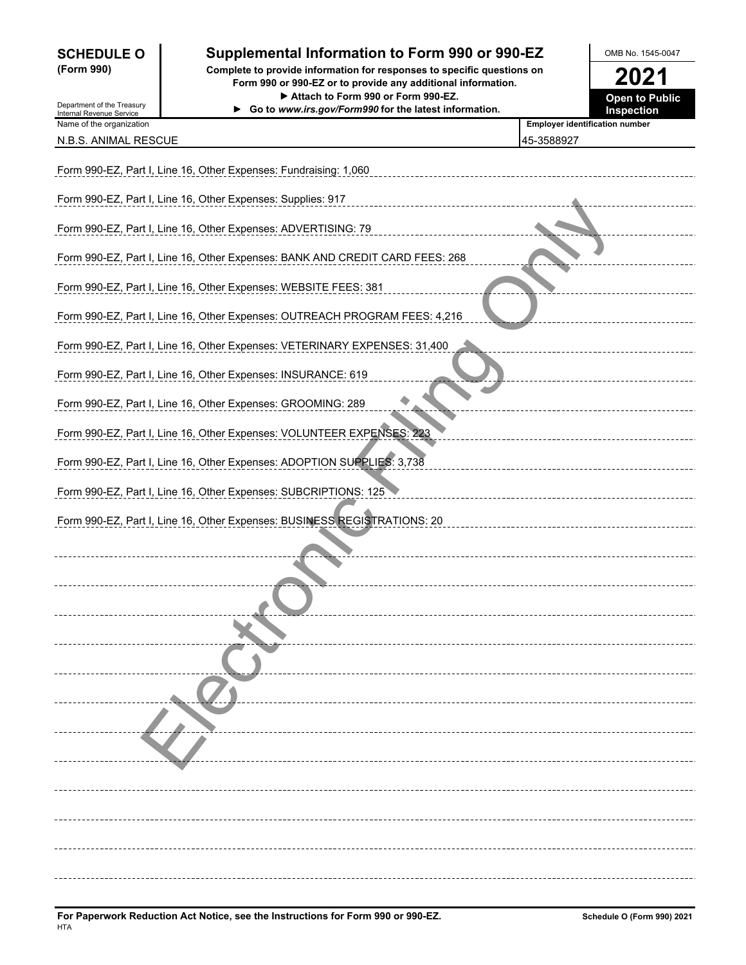# **SCHEDULE O** Supplemental Information to Form 990 or 990-EZ MB No. 1545-0047

**(Form 990) Complete to provide information for responses to specific questions on Form 990 or 990-EZ or to provide any additional information. 2021** ▶ Attach to Form 990 or Form 990-EZ. **Open to Public** 



| Department of the Treasury                           | ► Attach to Form 990 or Form 990-EZ.<br>Go to www.irs.gov/Form990 for the latest information. | <b>Open to Public</b><br><b>Inspection</b> |
|------------------------------------------------------|-----------------------------------------------------------------------------------------------|--------------------------------------------|
| Internal Revenue Service<br>Name of the organization |                                                                                               | <b>Employer identification number</b>      |
| N.B.S. ANIMAL RESCUE                                 |                                                                                               | 45-3588927                                 |
|                                                      | Form 990-EZ, Part I, Line 16, Other Expenses: Fundraising: 1,060                              |                                            |
|                                                      | Form 990-EZ, Part I, Line 16, Other Expenses: Supplies: 917                                   |                                            |
|                                                      | Form 990-EZ, Part I, Line 16, Other Expenses: ADVERTISING: 79                                 |                                            |
|                                                      | Form 990-EZ, Part I, Line 16, Other Expenses: BANK AND CREDIT CARD FEES: 268                  |                                            |
|                                                      | Form 990-EZ, Part I, Line 16, Other Expenses: WEBSITE FEES: 381                               |                                            |
|                                                      | Form 990-EZ, Part I, Line 16, Other Expenses: OUTREACH PROGRAM FEES: 4,216                    |                                            |
|                                                      | Form 990-EZ, Part I, Line 16, Other Expenses: VETERINARY EXPENSES: 31,400                     |                                            |
|                                                      | Form 990-EZ, Part I, Line 16, Other Expenses: INSURANCE: 619                                  |                                            |
|                                                      | Form 990-EZ, Part I, Line 16, Other Expenses: GROOMING: 289                                   |                                            |
|                                                      | Form 990-EZ, Part I, Line 16, Other Expenses: VOLUNTEER EXPENSES: 223                         |                                            |
|                                                      | Form 990-EZ, Part I, Line 16, Other Expenses: ADOPTION SUPPLIES: 3,738                        |                                            |
|                                                      | Form 990-EZ, Part I, Line 16, Other Expenses: SUBCRIPTIONS: 125                               |                                            |
|                                                      | Form 990-EZ, Part I, Line 16, Other Expenses: BUSINESS REGISTRATIONS: 20                      |                                            |
|                                                      |                                                                                               |                                            |
|                                                      |                                                                                               |                                            |
|                                                      |                                                                                               |                                            |
|                                                      |                                                                                               |                                            |
|                                                      |                                                                                               |                                            |
|                                                      |                                                                                               |                                            |
|                                                      |                                                                                               |                                            |
|                                                      |                                                                                               |                                            |
|                                                      |                                                                                               |                                            |
|                                                      |                                                                                               |                                            |
|                                                      |                                                                                               |                                            |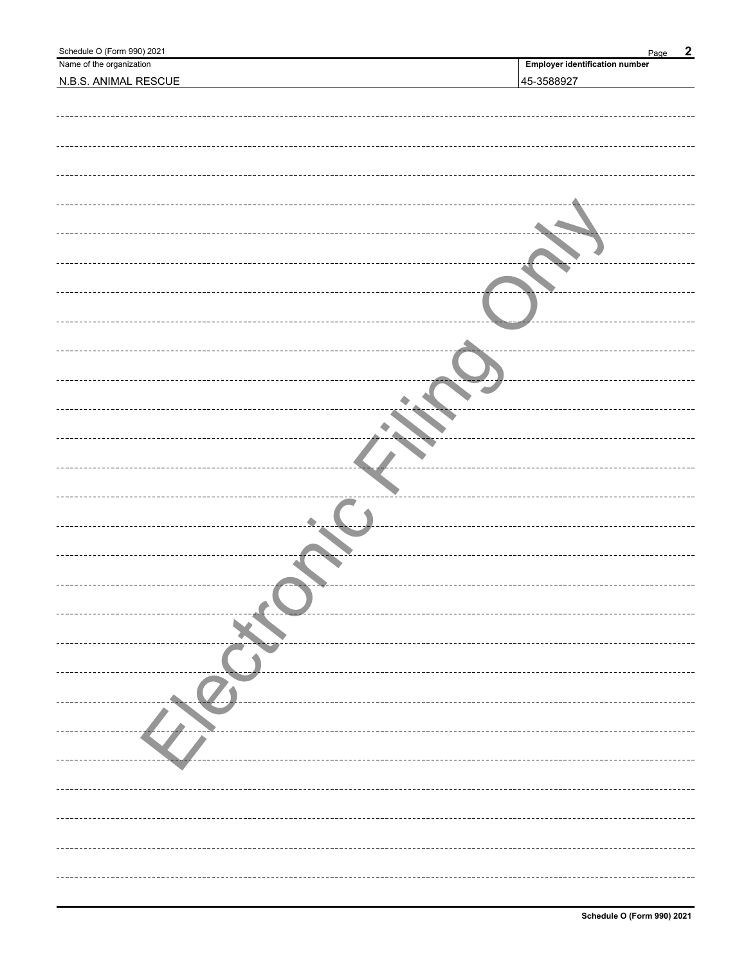| Schedule O (Form 990) 2021 | $\boldsymbol{2}$<br>Page              |
|----------------------------|---------------------------------------|
| Name of the organization   | <b>Employer identification number</b> |
| N.B.S. ANIMAL RESCUE       | 45-3588927                            |
|                            |                                       |
|                            |                                       |
|                            |                                       |
|                            |                                       |
|                            |                                       |
|                            |                                       |
|                            |                                       |
|                            |                                       |
|                            |                                       |
|                            |                                       |
|                            |                                       |
|                            |                                       |
|                            |                                       |
|                            |                                       |
|                            |                                       |
|                            |                                       |
|                            |                                       |
|                            |                                       |
|                            |                                       |
|                            |                                       |
|                            |                                       |
|                            |                                       |
|                            |                                       |
|                            |                                       |
|                            |                                       |
|                            |                                       |
|                            |                                       |
|                            |                                       |
|                            |                                       |
|                            |                                       |
|                            |                                       |
|                            |                                       |
|                            |                                       |
|                            |                                       |
|                            |                                       |
|                            |                                       |
|                            |                                       |
|                            |                                       |
|                            |                                       |
|                            |                                       |
|                            |                                       |
|                            |                                       |
|                            |                                       |
|                            |                                       |
|                            |                                       |
|                            |                                       |
|                            |                                       |
|                            |                                       |